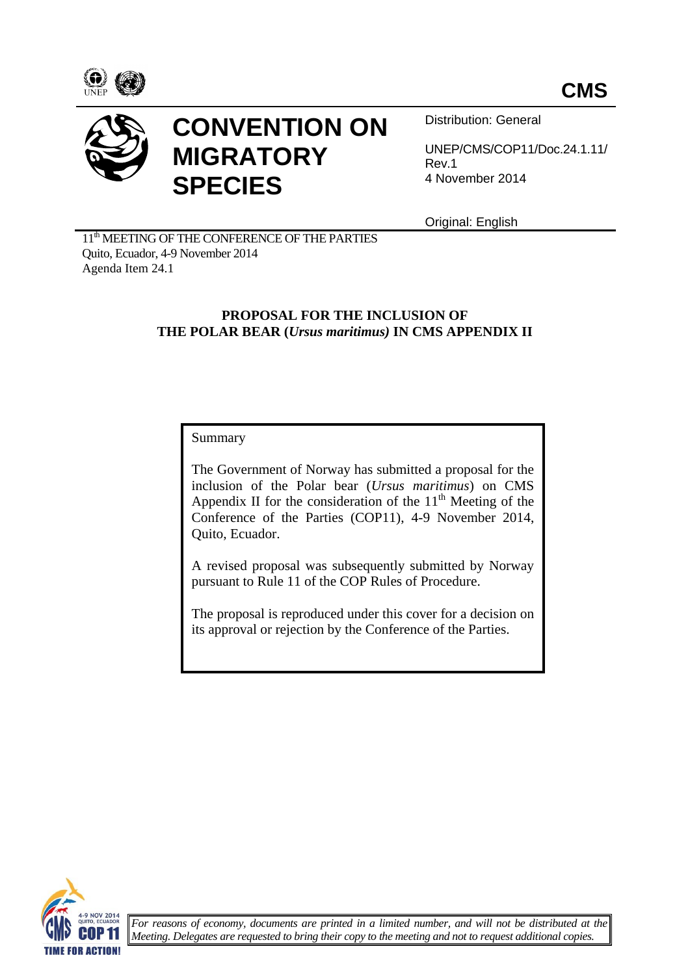



# **CONVENTION ON MIGRATORY SPECIES**

Distribution: General

UNEP/CMS/COP11/Doc.24.1.11/ Rev.1 4 November 2014

Original: English

11<sup>th</sup> MEETING OF THE CONFERENCE OF THE PARTIES Quito, Ecuador, 4-9 November 2014 Agenda Item 24.1

# **PROPOSAL FOR THE INCLUSION OF THE POLAR BEAR (***Ursus maritimus)* **IN CMS APPENDIX II**

# Summary

The Government of Norway has submitted a proposal for the inclusion of the Polar bear (*Ursus maritimus*) on CMS Appendix II for the consideration of the  $11<sup>th</sup>$  Meeting of the Conference of the Parties (COP11), 4-9 November 2014, Quito, Ecuador.

A revised proposal was subsequently submitted by Norway pursuant to Rule 11 of the COP Rules of Procedure.

The proposal is reproduced under this cover for a decision on its approval or rejection by the Conference of the Parties.

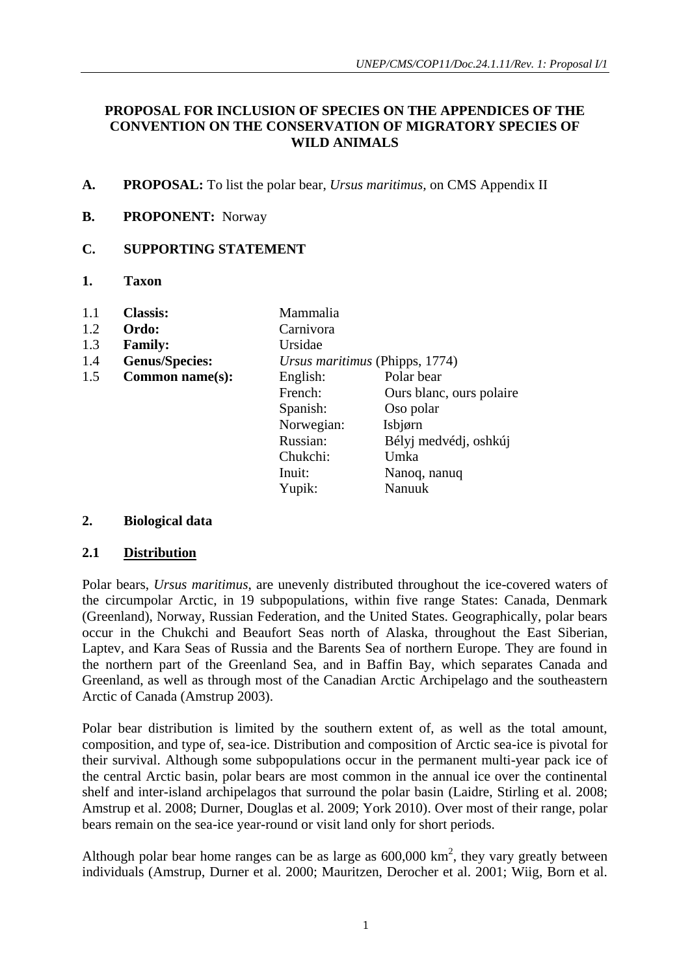#### **PROPOSAL FOR INCLUSION OF SPECIES ON THE APPENDICES OF THE CONVENTION ON THE CONSERVATION OF MIGRATORY SPECIES OF WILD ANIMALS**

**A. PROPOSAL:** To list the polar bear, *Ursus maritimus,* on CMS Appendix II

# **B. PROPONENT:** Norway

#### **C. SUPPORTING STATEMENT**

**1. Taxon**

| 1.1 | <b>Classis:</b>       | Mammalia                       |                          |
|-----|-----------------------|--------------------------------|--------------------------|
| 1.2 | Ordo:                 | Carnivora                      |                          |
| 1.3 | <b>Family:</b>        | Ursidae                        |                          |
| 1.4 | <b>Genus/Species:</b> | Ursus maritimus (Phipps, 1774) |                          |
| 1.5 | Common name(s):       | English:                       | Polar bear               |
|     |                       | French:                        | Ours blanc, ours polaire |
|     |                       | Spanish:                       | Oso polar                |
|     |                       | Norwegian:                     | Isbjørn                  |
|     |                       | Russian:                       | Bélyj medvédj, oshkúj    |
|     |                       | Chukchi:                       | Umka                     |
|     |                       | Inuit:                         | Nanoq, nanuq             |
|     |                       | Yupik:                         | Nanuuk                   |

#### **2. Biological data**

#### **2.1 Distribution**

Polar bears, *Ursus maritimus*, are unevenly distributed throughout the ice-covered waters of the circumpolar Arctic, in 19 subpopulations, within five range States: Canada, Denmark (Greenland), Norway, Russian Federation, and the United States. Geographically, polar bears occur in the Chukchi and Beaufort Seas north of Alaska, throughout the East Siberian, Laptev, and Kara Seas of Russia and the Barents Sea of northern Europe. They are found in the northern part of the Greenland Sea, and in Baffin Bay, which separates Canada and Greenland, as well as through most of the Canadian Arctic Archipelago and the southeastern Arctic of Canada (Amstrup 2003).

Polar bear distribution is limited by the southern extent of, as well as the total amount, composition, and type of, sea-ice. Distribution and composition of Arctic sea-ice is pivotal for their survival. Although some subpopulations occur in the permanent multi-year pack ice of the central Arctic basin, polar bears are most common in the annual ice over the continental shelf and inter-island archipelagos that surround the polar basin (Laidre, Stirling et al. 2008; Amstrup et al. 2008; Durner, Douglas et al. 2009; York 2010). Over most of their range, polar bears remain on the sea-ice year-round or visit land only for short periods.

Although polar bear home ranges can be as large as  $600,000 \text{ km}^2$ , they vary greatly between individuals (Amstrup, Durner et al. 2000; Mauritzen, Derocher et al. 2001; Wiig, Born et al.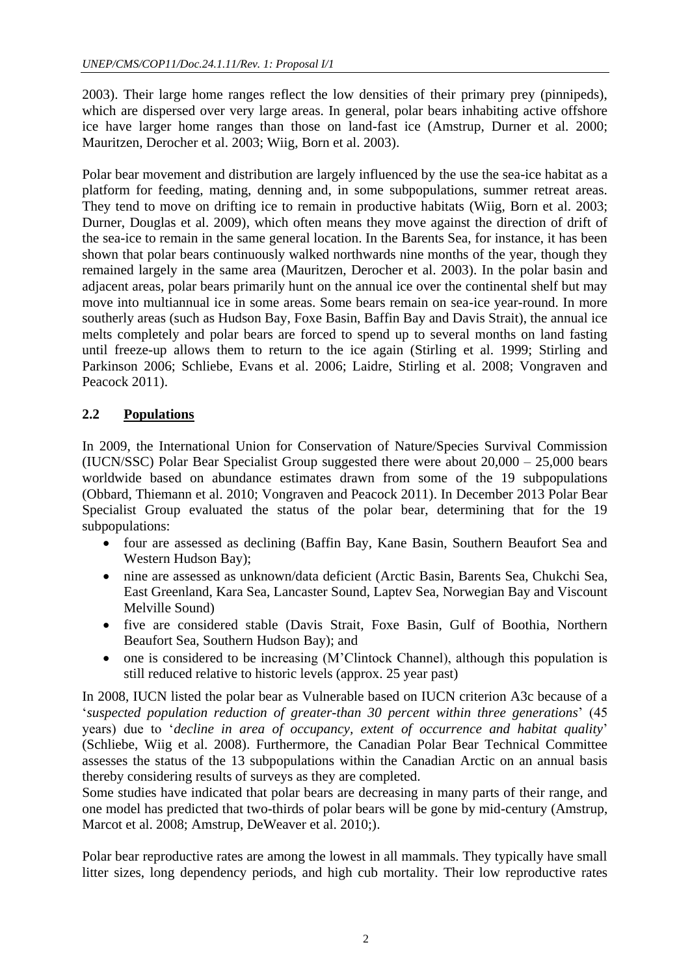2003). Their large home ranges reflect the low densities of their primary prey (pinnipeds), which are dispersed over very large areas. In general, polar bears inhabiting active offshore ice have larger home ranges than those on land-fast ice (Amstrup, Durner et al. 2000; Mauritzen, Derocher et al. 2003; Wiig, Born et al. 2003).

Polar bear movement and distribution are largely influenced by the use the sea-ice habitat as a platform for feeding, mating, denning and, in some subpopulations, summer retreat areas. They tend to move on drifting ice to remain in productive habitats (Wiig, Born et al. 2003; Durner, Douglas et al. 2009), which often means they move against the direction of drift of the sea-ice to remain in the same general location. In the Barents Sea, for instance, it has been shown that polar bears continuously walked northwards nine months of the year, though they remained largely in the same area (Mauritzen, Derocher et al. 2003). In the polar basin and adjacent areas, polar bears primarily hunt on the annual ice over the continental shelf but may move into multiannual ice in some areas. Some bears remain on sea-ice year-round. In more southerly areas (such as Hudson Bay, Foxe Basin, Baffin Bay and Davis Strait), the annual ice melts completely and polar bears are forced to spend up to several months on land fasting until freeze-up allows them to return to the ice again (Stirling et al. 1999; Stirling and Parkinson 2006; Schliebe, Evans et al. 2006; Laidre, Stirling et al. 2008; Vongraven and Peacock 2011).

# **2.2 Populations**

In 2009, the International Union for Conservation of Nature/Species Survival Commission (IUCN/SSC) Polar Bear Specialist Group suggested there were about 20,000 – 25,000 bears worldwide based on abundance estimates drawn from some of the 19 subpopulations (Obbard, Thiemann et al. 2010; Vongraven and Peacock 2011). In December 2013 Polar Bear Specialist Group evaluated the status of the polar bear, determining that for the 19 subpopulations:

- four are assessed as declining (Baffin Bay, Kane Basin, Southern Beaufort Sea and Western Hudson Bay);
- nine are assessed as unknown/data deficient (Arctic Basin, Barents Sea, Chukchi Sea, East Greenland, Kara Sea, Lancaster Sound, Laptev Sea, Norwegian Bay and Viscount Melville Sound)
- five are considered stable (Davis Strait, Foxe Basin, Gulf of Boothia, Northern Beaufort Sea, Southern Hudson Bay); and
- one is considered to be increasing (M'Clintock Channel), although this population is still reduced relative to historic levels (approx. 25 year past)

In 2008, IUCN listed the polar bear as Vulnerable based on IUCN criterion A3c because of a '*suspected population reduction of greater-than 30 percent within three generations*' (45 years) due to '*decline in area of occupancy, extent of occurrence and habitat quality*' (Schliebe, Wiig et al. 2008). Furthermore, the Canadian Polar Bear Technical Committee assesses the status of the 13 subpopulations within the Canadian Arctic on an annual basis thereby considering results of surveys as they are completed.

Some studies have indicated that polar bears are decreasing in many parts of their range, and one model has predicted that two-thirds of polar bears will be gone by mid-century (Amstrup, Marcot et al. 2008; Amstrup, DeWeaver et al. 2010;).

Polar bear reproductive rates are among the lowest in all mammals. They typically have small litter sizes, long dependency periods, and high cub mortality. Their low reproductive rates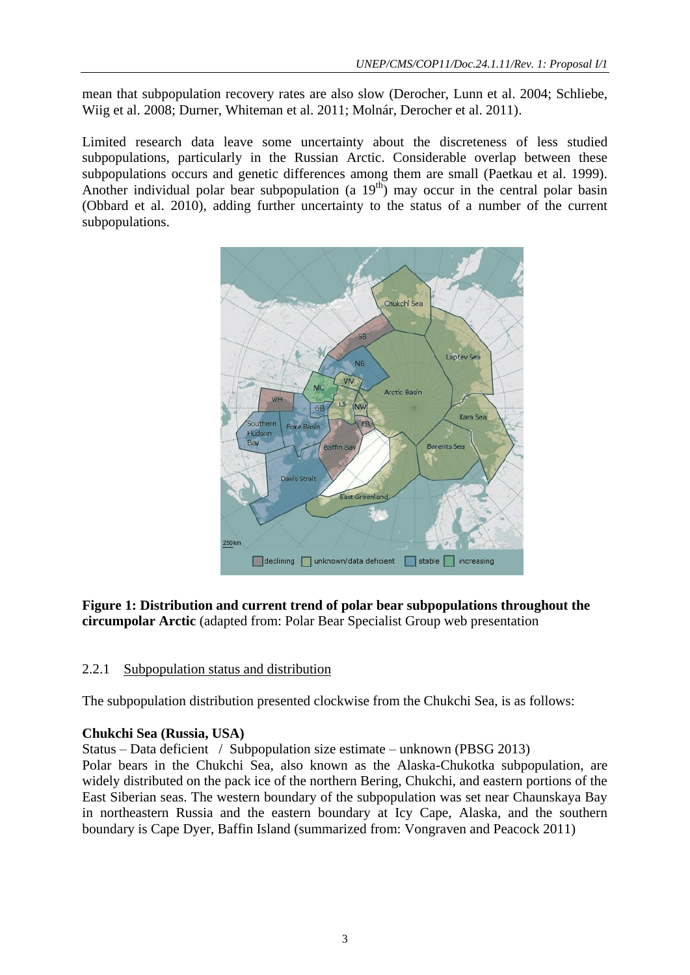mean that subpopulation recovery rates are also slow (Derocher, Lunn et al. 2004; Schliebe, Wiig et al. 2008; Durner, Whiteman et al. 2011; Molnár, Derocher et al. 2011).

Limited research data leave some uncertainty about the discreteness of less studied subpopulations, particularly in the Russian Arctic. Considerable overlap between these subpopulations occurs and genetic differences among them are small (Paetkau et al. 1999). Another individual polar bear subpopulation (a  $19<sup>th</sup>$ ) may occur in the central polar basin (Obbard et al. 2010), adding further uncertainty to the status of a number of the current subpopulations.



**Figure 1: Distribution and current trend of polar bear subpopulations throughout the circumpolar Arctic** (adapted from: Polar Bear Specialist Group web presentation

# 2.2.1 Subpopulation status and distribution

The subpopulation distribution presented clockwise from the Chukchi Sea, is as follows:

# **Chukchi Sea (Russia, USA)**

Status – Data deficient / Subpopulation size estimate – unknown (PBSG 2013) Polar bears in the Chukchi Sea, also known as the Alaska-Chukotka subpopulation, are widely distributed on the pack ice of the northern Bering, Chukchi, and eastern portions of the East Siberian seas. The western boundary of the subpopulation was set near Chaunskaya Bay in northeastern Russia and the eastern boundary at Icy Cape, Alaska, and the southern boundary is Cape Dyer, Baffin Island (summarized from: Vongraven and Peacock 2011)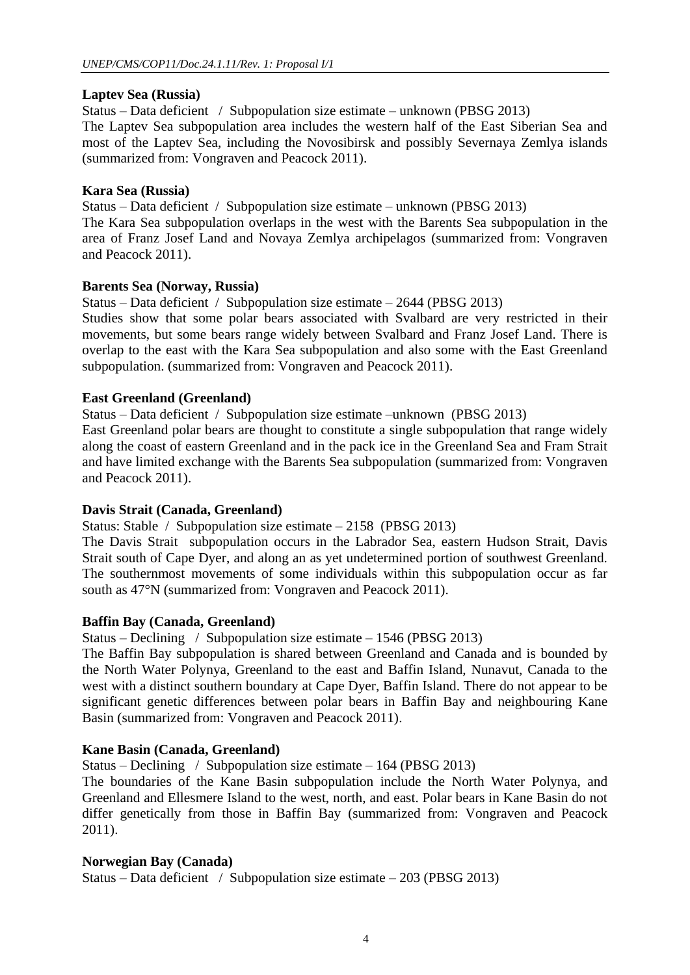# **Laptev Sea (Russia)**

Status – Data deficient / Subpopulation size estimate – unknown (PBSG 2013) The Laptev Sea subpopulation area includes the western half of the East Siberian Sea and most of the Laptev Sea, including the Novosibirsk and possibly Severnaya Zemlya islands (summarized from: Vongraven and Peacock 2011).

# **Kara Sea (Russia)**

Status – Data deficient / Subpopulation size estimate – unknown (PBSG 2013) The Kara Sea subpopulation overlaps in the west with the Barents Sea subpopulation in the area of Franz Josef Land and Novaya Zemlya archipelagos (summarized from: Vongraven and Peacock 2011).

# **Barents Sea (Norway, Russia)**

Status – Data deficient / Subpopulation size estimate – 2644 (PBSG 2013)

Studies show that some polar bears associated with Svalbard are very restricted in their movements, but some bears range widely between Svalbard and Franz Josef Land. There is overlap to the east with the Kara Sea subpopulation and also some with the East Greenland subpopulation. (summarized from: Vongraven and Peacock 2011).

# **East Greenland (Greenland)**

Status – Data deficient / Subpopulation size estimate –unknown (PBSG 2013)

East Greenland polar bears are thought to constitute a single subpopulation that range widely along the coast of eastern Greenland and in the pack ice in the Greenland Sea and Fram Strait and have limited exchange with the Barents Sea subpopulation (summarized from: Vongraven and Peacock 2011).

# **Davis Strait (Canada, Greenland)**

Status: Stable / Subpopulation size estimate – 2158 (PBSG 2013)

The Davis Strait subpopulation occurs in the Labrador Sea, eastern Hudson Strait, Davis Strait south of Cape Dyer, and along an as yet undetermined portion of southwest Greenland. The southernmost movements of some individuals within this subpopulation occur as far south as 47°N (summarized from: Vongraven and Peacock 2011).

# **Baffin Bay (Canada, Greenland)**

Status – Declining / Subpopulation size estimate – 1546 (PBSG 2013)

The Baffin Bay subpopulation is shared between Greenland and Canada and is bounded by the North Water Polynya, Greenland to the east and Baffin Island, Nunavut, Canada to the west with a distinct southern boundary at Cape Dyer, Baffin Island. There do not appear to be significant genetic differences between polar bears in Baffin Bay and neighbouring Kane Basin (summarized from: Vongraven and Peacock 2011).

# **Kane Basin (Canada, Greenland)**

Status – Declining / Subpopulation size estimate – 164 (PBSG 2013)

The boundaries of the Kane Basin subpopulation include the North Water Polynya, and Greenland and Ellesmere Island to the west, north, and east. Polar bears in Kane Basin do not differ genetically from those in Baffin Bay (summarized from: Vongraven and Peacock 2011).

# **Norwegian Bay (Canada)**

Status – Data deficient / Subpopulation size estimate – 203 (PBSG 2013)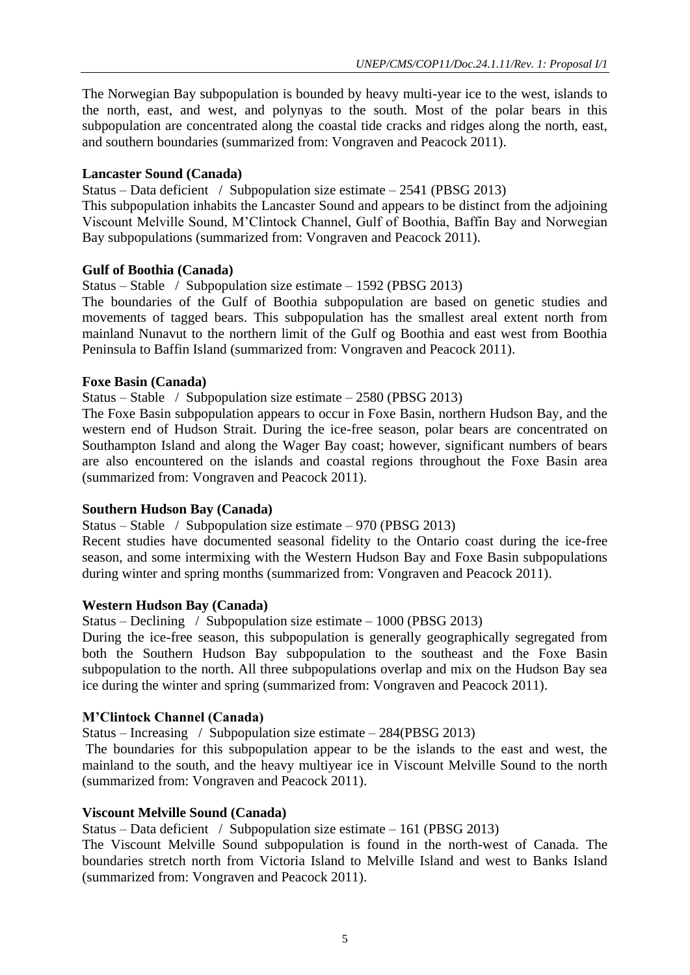The Norwegian Bay subpopulation is bounded by heavy multi-year ice to the west, islands to the north, east, and west, and polynyas to the south. Most of the polar bears in this subpopulation are concentrated along the coastal tide cracks and ridges along the north, east, and southern boundaries (summarized from: Vongraven and Peacock 2011).

# **Lancaster Sound (Canada)**

Status – Data deficient / Subpopulation size estimate –  $2541$  (PBSG 2013)

This subpopulation inhabits the Lancaster Sound and appears to be distinct from the adjoining Viscount Melville Sound, M'Clintock Channel, Gulf of Boothia, Baffin Bay and Norwegian Bay subpopulations (summarized from: Vongraven and Peacock 2011).

# **Gulf of Boothia (Canada)**

Status – Stable / Subpopulation size estimate – 1592 (PBSG 2013)

The boundaries of the Gulf of Boothia subpopulation are based on genetic studies and movements of tagged bears. This subpopulation has the smallest areal extent north from mainland Nunavut to the northern limit of the Gulf og Boothia and east west from Boothia Peninsula to Baffin Island (summarized from: Vongraven and Peacock 2011).

# **Foxe Basin (Canada)**

Status – Stable / Subpopulation size estimate – 2580 (PBSG 2013)

The Foxe Basin subpopulation appears to occur in Foxe Basin, northern Hudson Bay, and the western end of Hudson Strait. During the ice-free season, polar bears are concentrated on Southampton Island and along the Wager Bay coast; however, significant numbers of bears are also encountered on the islands and coastal regions throughout the Foxe Basin area (summarized from: Vongraven and Peacock 2011).

# **Southern Hudson Bay (Canada)**

Status – Stable / Subpopulation size estimate – 970 (PBSG 2013)

Recent studies have documented seasonal fidelity to the Ontario coast during the ice-free season, and some intermixing with the Western Hudson Bay and Foxe Basin subpopulations during winter and spring months (summarized from: Vongraven and Peacock 2011).

# **Western Hudson Bay (Canada)**

Status – Declining / Subpopulation size estimate – 1000 (PBSG 2013)

During the ice-free season, this subpopulation is generally geographically segregated from both the Southern Hudson Bay subpopulation to the southeast and the Foxe Basin subpopulation to the north. All three subpopulations overlap and mix on the Hudson Bay sea ice during the winter and spring (summarized from: Vongraven and Peacock 2011).

# **M'Clintock Channel (Canada)**

Status – Increasing / Subpopulation size estimate – 284(PBSG 2013)

The boundaries for this subpopulation appear to be the islands to the east and west, the mainland to the south, and the heavy multiyear ice in Viscount Melville Sound to the north (summarized from: Vongraven and Peacock 2011).

# **Viscount Melville Sound (Canada)**

Status – Data deficient / Subpopulation size estimate – 161 (PBSG 2013)

The Viscount Melville Sound subpopulation is found in the north-west of Canada. The boundaries stretch north from Victoria Island to Melville Island and west to Banks Island (summarized from: Vongraven and Peacock 2011).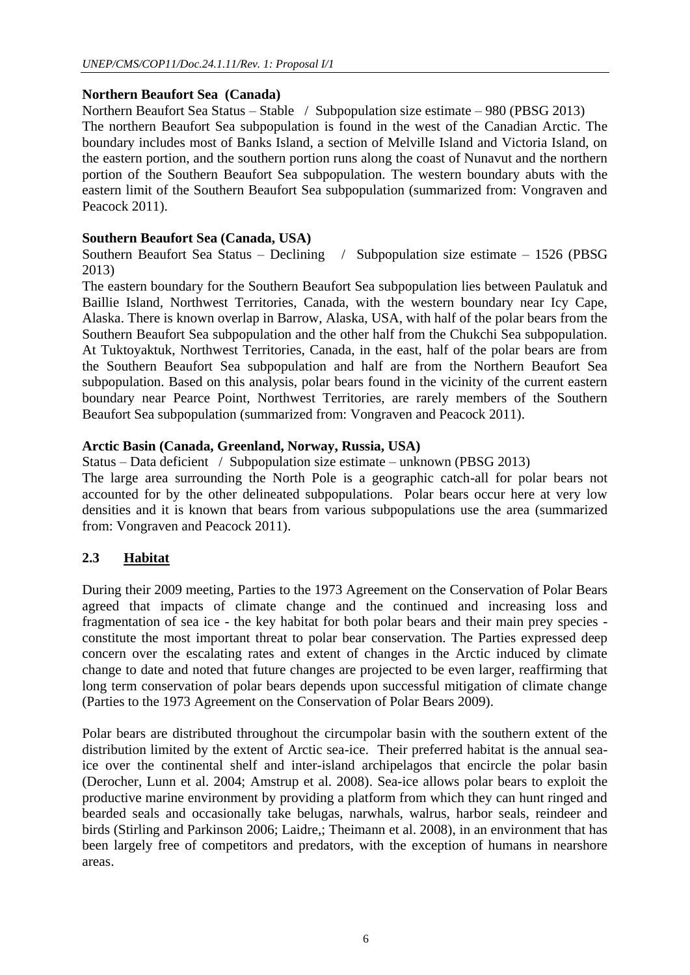# **Northern Beaufort Sea (Canada)**

Northern Beaufort Sea Status – Stable / Subpopulation size estimate – 980 (PBSG 2013) The northern Beaufort Sea subpopulation is found in the west of the Canadian Arctic. The boundary includes most of Banks Island, a section of Melville Island and Victoria Island, on the eastern portion, and the southern portion runs along the coast of Nunavut and the northern portion of the Southern Beaufort Sea subpopulation. The western boundary abuts with the eastern limit of the Southern Beaufort Sea subpopulation (summarized from: Vongraven and Peacock 2011).

# **Southern Beaufort Sea (Canada, USA)**

Southern Beaufort Sea Status – Declining / Subpopulation size estimate – 1526 (PBSG 2013)

The eastern boundary for the Southern Beaufort Sea subpopulation lies between Paulatuk and Baillie Island, Northwest Territories, Canada, with the western boundary near Icy Cape, Alaska. There is known overlap in Barrow, Alaska, USA, with half of the polar bears from the Southern Beaufort Sea subpopulation and the other half from the Chukchi Sea subpopulation. At Tuktoyaktuk, Northwest Territories, Canada, in the east, half of the polar bears are from the Southern Beaufort Sea subpopulation and half are from the Northern Beaufort Sea subpopulation. Based on this analysis, polar bears found in the vicinity of the current eastern boundary near Pearce Point, Northwest Territories, are rarely members of the Southern Beaufort Sea subpopulation (summarized from: Vongraven and Peacock 2011).

#### **Arctic Basin (Canada, Greenland, Norway, Russia, USA)**

Status – Data deficient / Subpopulation size estimate – unknown (PBSG 2013)

The large area surrounding the North Pole is a geographic catch-all for polar bears not accounted for by the other delineated subpopulations. Polar bears occur here at very low densities and it is known that bears from various subpopulations use the area (summarized from: Vongraven and Peacock 2011).

# **2.3 Habitat**

During their 2009 meeting, Parties to the 1973 Agreement on the Conservation of Polar Bears agreed that impacts of climate change and the continued and increasing loss and fragmentation of sea ice - the key habitat for both polar bears and their main prey species constitute the most important threat to polar bear conservation. The Parties expressed deep concern over the escalating rates and extent of changes in the Arctic induced by climate change to date and noted that future changes are projected to be even larger, reaffirming that long term conservation of polar bears depends upon successful mitigation of climate change (Parties to the 1973 Agreement on the Conservation of Polar Bears 2009).

Polar bears are distributed throughout the circumpolar basin with the southern extent of the distribution limited by the extent of Arctic sea-ice. Their preferred habitat is the annual seaice over the continental shelf and inter-island archipelagos that encircle the polar basin (Derocher, Lunn et al. 2004; Amstrup et al. 2008). Sea-ice allows polar bears to exploit the productive marine environment by providing a platform from which they can hunt ringed and bearded seals and occasionally take belugas, narwhals, walrus, harbor seals, reindeer and birds (Stirling and Parkinson 2006; Laidre,; Theimann et al. 2008), in an environment that has been largely free of competitors and predators, with the exception of humans in nearshore areas.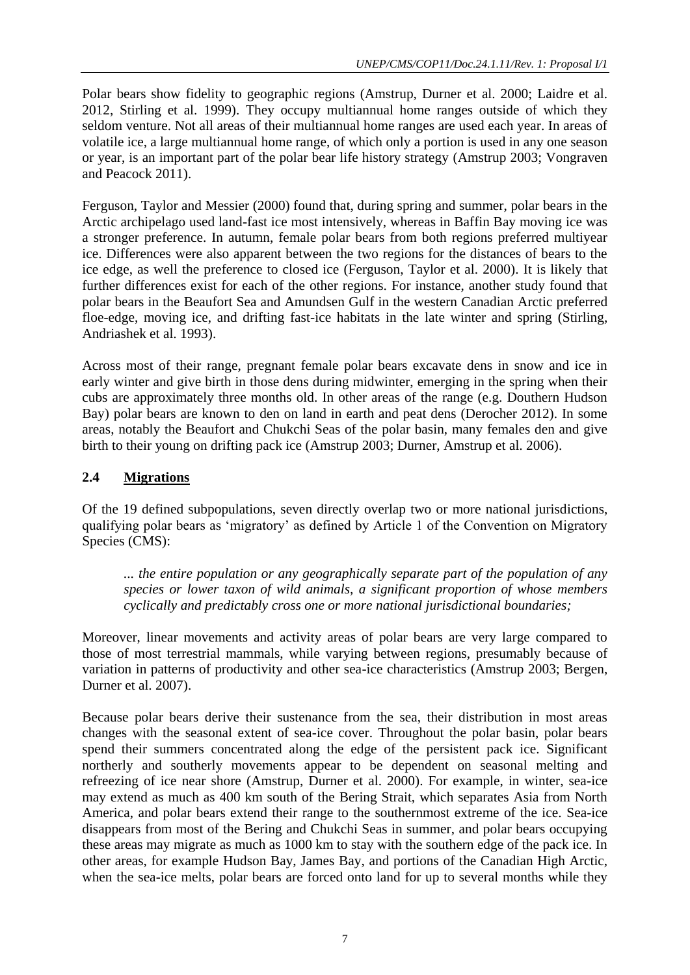Polar bears show fidelity to geographic regions (Amstrup, Durner et al. 2000; Laidre et al. 2012, Stirling et al. 1999). They occupy multiannual home ranges outside of which they seldom venture. Not all areas of their multiannual home ranges are used each year. In areas of volatile ice, a large multiannual home range, of which only a portion is used in any one season or year, is an important part of the polar bear life history strategy (Amstrup 2003; Vongraven and Peacock 2011).

Ferguson, Taylor and Messier (2000) found that, during spring and summer, polar bears in the Arctic archipelago used land-fast ice most intensively, whereas in Baffin Bay moving ice was a stronger preference. In autumn, female polar bears from both regions preferred multiyear ice. Differences were also apparent between the two regions for the distances of bears to the ice edge, as well the preference to closed ice (Ferguson, Taylor et al. 2000). It is likely that further differences exist for each of the other regions. For instance, another study found that polar bears in the Beaufort Sea and Amundsen Gulf in the western Canadian Arctic preferred floe-edge, moving ice, and drifting fast-ice habitats in the late winter and spring (Stirling, Andriashek et al. 1993).

Across most of their range, pregnant female polar bears excavate dens in snow and ice in early winter and give birth in those dens during midwinter, emerging in the spring when their cubs are approximately three months old. In other areas of the range (e.g. Douthern Hudson Bay) polar bears are known to den on land in earth and peat dens (Derocher 2012). In some areas, notably the Beaufort and Chukchi Seas of the polar basin, many females den and give birth to their young on drifting pack ice (Amstrup 2003; Durner, Amstrup et al. 2006).

# **2.4 Migrations**

Of the 19 defined subpopulations, seven directly overlap two or more national jurisdictions, qualifying polar bears as 'migratory' as defined by Article 1 of the Convention on Migratory Species (CMS):

*... the entire population or any geographically separate part of the population of any species or lower taxon of wild animals, a significant proportion of whose members cyclically and predictably cross one or more national jurisdictional boundaries;* 

Moreover, linear movements and activity areas of polar bears are very large compared to those of most terrestrial mammals, while varying between regions, presumably because of variation in patterns of productivity and other sea-ice characteristics (Amstrup 2003; Bergen, Durner et al. 2007).

Because polar bears derive their sustenance from the sea, their distribution in most areas changes with the seasonal extent of sea-ice cover. Throughout the polar basin, polar bears spend their summers concentrated along the edge of the persistent pack ice. Significant northerly and southerly movements appear to be dependent on seasonal melting and refreezing of ice near shore (Amstrup, Durner et al. 2000). For example, in winter, sea-ice may extend as much as 400 km south of the Bering Strait, which separates Asia from North America, and polar bears extend their range to the southernmost extreme of the ice. Sea-ice disappears from most of the Bering and Chukchi Seas in summer, and polar bears occupying these areas may migrate as much as 1000 km to stay with the southern edge of the pack ice. In other areas, for example Hudson Bay, James Bay, and portions of the Canadian High Arctic, when the sea-ice melts, polar bears are forced onto land for up to several months while they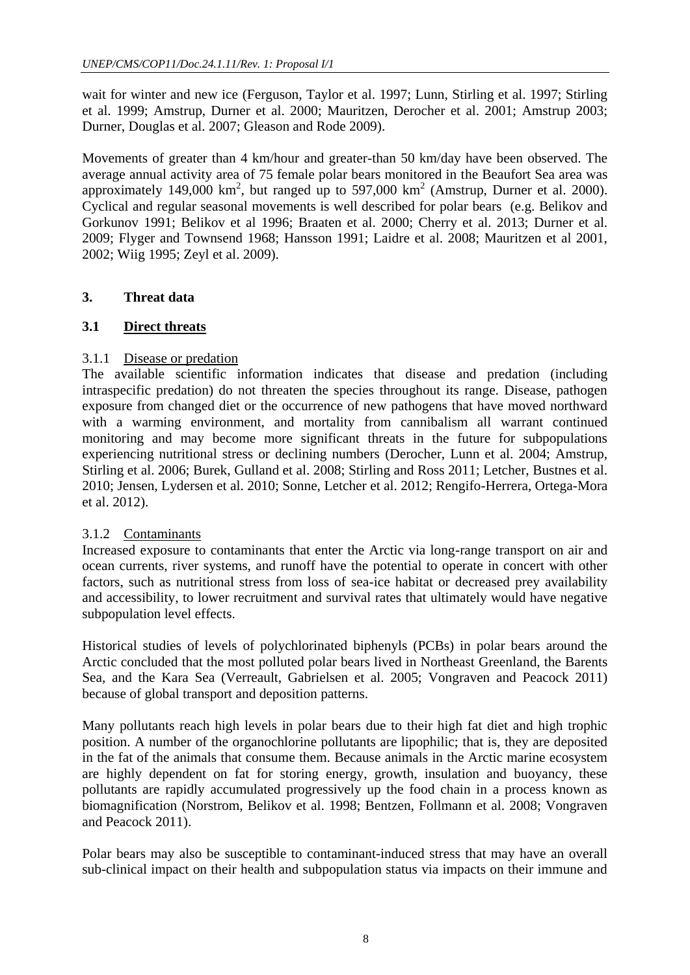wait for winter and new ice (Ferguson, Taylor et al. 1997; Lunn, Stirling et al. 1997; Stirling et al. 1999; Amstrup, Durner et al. 2000; Mauritzen, Derocher et al. 2001; Amstrup 2003; Durner, Douglas et al. 2007; Gleason and Rode 2009).

Movements of greater than 4 km/hour and greater-than 50 km/day have been observed. The average annual activity area of 75 female polar bears monitored in the Beaufort Sea area was approximately 149,000  $\text{km}^2$ , but ranged up to 597,000  $\text{km}^2$  (Amstrup, Durner et al. 2000). Cyclical and regular seasonal movements is well described for polar bears (e.g. Belikov and Gorkunov 1991; Belikov et al 1996; Braaten et al. 2000; Cherry et al. 2013; Durner et al. 2009; Flyger and Townsend 1968; Hansson 1991; Laidre et al. 2008; Mauritzen et al 2001, 2002; Wiig 1995; Zeyl et al. 2009).

# **3. Threat data**

# **3.1 Direct threats**

# 3.1.1 Disease or predation

The available scientific information indicates that disease and predation (including intraspecific predation) do not threaten the species throughout its range. Disease, pathogen exposure from changed diet or the occurrence of new pathogens that have moved northward with a warming environment, and mortality from cannibalism all warrant continued monitoring and may become more significant threats in the future for subpopulations experiencing nutritional stress or declining numbers (Derocher, Lunn et al. 2004; Amstrup, Stirling et al. 2006; Burek, Gulland et al. 2008; Stirling and Ross 2011; Letcher, Bustnes et al. 2010; Jensen, Lydersen et al. 2010; Sonne, Letcher et al. 2012; Rengifo-Herrera, Ortega-Mora et al. 2012).

# 3.1.2 Contaminants

Increased exposure to contaminants that enter the Arctic via long-range transport on air and ocean currents, river systems, and runoff have the potential to operate in concert with other factors, such as nutritional stress from loss of sea-ice habitat or decreased prey availability and accessibility, to lower recruitment and survival rates that ultimately would have negative subpopulation level effects.

Historical studies of levels of polychlorinated biphenyls (PCBs) in polar bears around the Arctic concluded that the most polluted polar bears lived in Northeast Greenland, the Barents Sea, and the Kara Sea (Verreault, Gabrielsen et al. 2005; Vongraven and Peacock 2011) because of global transport and deposition patterns.

Many pollutants reach high levels in polar bears due to their high fat diet and high trophic position. A number of the organochlorine pollutants are lipophilic; that is, they are deposited in the fat of the animals that consume them. Because animals in the Arctic marine ecosystem are highly dependent on fat for storing energy, growth, insulation and buoyancy, these pollutants are rapidly accumulated progressively up the food chain in a process known as biomagnification (Norstrom, Belikov et al. 1998; Bentzen, Follmann et al. 2008; Vongraven and Peacock 2011).

Polar bears may also be susceptible to contaminant-induced stress that may have an overall sub-clinical impact on their health and subpopulation status via impacts on their immune and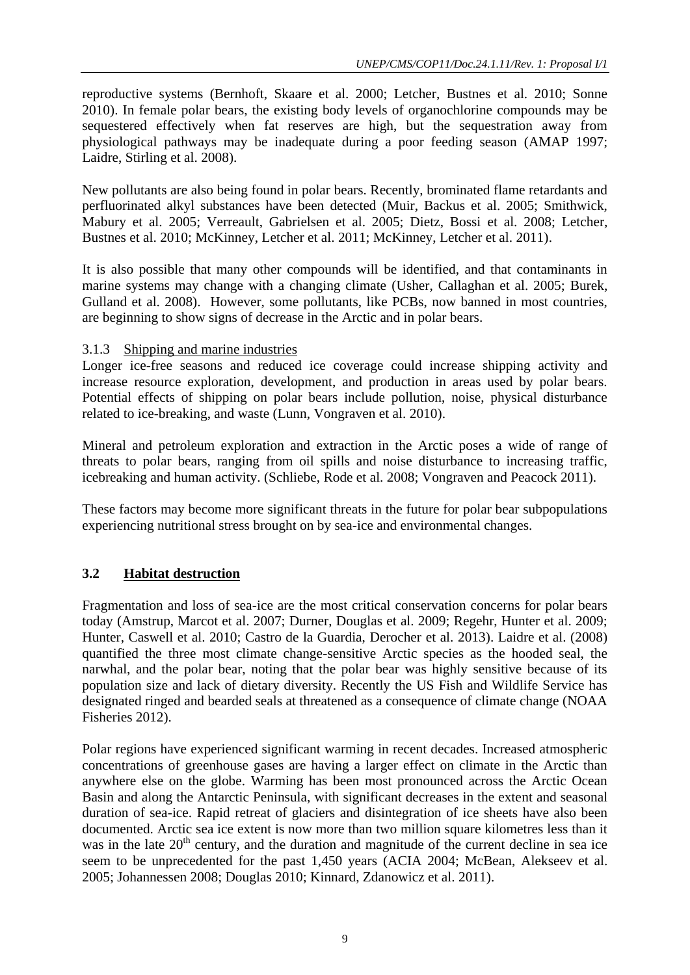reproductive systems (Bernhoft, Skaare et al. 2000; Letcher, Bustnes et al. 2010; Sonne 2010). In female polar bears, the existing body levels of organochlorine compounds may be sequestered effectively when fat reserves are high, but the sequestration away from physiological pathways may be inadequate during a poor feeding season (AMAP 1997; Laidre, Stirling et al. 2008).

New pollutants are also being found in polar bears. Recently, brominated flame retardants and perfluorinated alkyl substances have been detected (Muir, Backus et al. 2005; Smithwick, Mabury et al. 2005; Verreault, Gabrielsen et al. 2005; Dietz, Bossi et al. 2008; Letcher, Bustnes et al. 2010; McKinney, Letcher et al. 2011; McKinney, Letcher et al. 2011).

It is also possible that many other compounds will be identified, and that contaminants in marine systems may change with a changing climate (Usher, Callaghan et al. 2005; Burek, Gulland et al. 2008). However, some pollutants, like PCBs, now banned in most countries, are beginning to show signs of decrease in the Arctic and in polar bears.

# 3.1.3 Shipping and marine industries

Longer ice-free seasons and reduced ice coverage could increase shipping activity and increase resource exploration, development, and production in areas used by polar bears. Potential effects of shipping on polar bears include pollution, noise, physical disturbance related to ice-breaking, and waste (Lunn, Vongraven et al. 2010).

Mineral and petroleum exploration and extraction in the Arctic poses a wide of range of threats to polar bears, ranging from oil spills and noise disturbance to increasing traffic, icebreaking and human activity. (Schliebe, Rode et al. 2008; Vongraven and Peacock 2011).

These factors may become more significant threats in the future for polar bear subpopulations experiencing nutritional stress brought on by sea-ice and environmental changes.

# **3.2 Habitat destruction**

Fragmentation and loss of sea-ice are the most critical conservation concerns for polar bears today (Amstrup, Marcot et al. 2007; Durner, Douglas et al. 2009; Regehr, Hunter et al. 2009; Hunter, Caswell et al. 2010; Castro de la Guardia, Derocher et al. 2013). Laidre et al. (2008) quantified the three most climate change-sensitive Arctic species as the hooded seal, the narwhal, and the polar bear, noting that the polar bear was highly sensitive because of its population size and lack of dietary diversity. Recently the US Fish and Wildlife Service has designated ringed and bearded seals at threatened as a consequence of climate change (NOAA Fisheries 2012).

Polar regions have experienced significant warming in recent decades. Increased atmospheric concentrations of greenhouse gases are having a larger effect on climate in the Arctic than anywhere else on the globe. Warming has been most pronounced across the Arctic Ocean Basin and along the Antarctic Peninsula, with significant decreases in the extent and seasonal duration of sea-ice. Rapid retreat of glaciers and disintegration of ice sheets have also been documented. Arctic sea ice extent is now more than two million square kilometres less than it was in the late  $20<sup>th</sup>$  century, and the duration and magnitude of the current decline in sea ice seem to be unprecedented for the past 1,450 years (ACIA 2004; McBean, Alekseev et al. 2005; Johannessen 2008; Douglas 2010; Kinnard, Zdanowicz et al. 2011).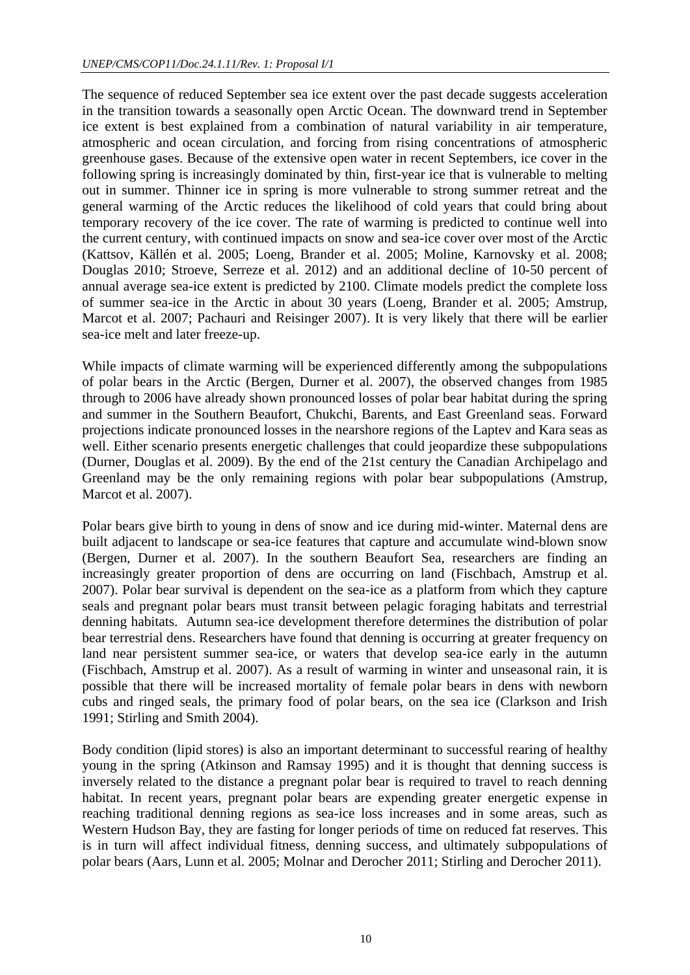The sequence of reduced September sea ice extent over the past decade suggests acceleration in the transition towards a seasonally open Arctic Ocean. The downward trend in September ice extent is best explained from a combination of natural variability in air temperature, atmospheric and ocean circulation, and forcing from rising concentrations of atmospheric greenhouse gases. Because of the extensive open water in recent Septembers, ice cover in the following spring is increasingly dominated by thin, first-year ice that is vulnerable to melting out in summer. Thinner ice in spring is more vulnerable to strong summer retreat and the general warming of the Arctic reduces the likelihood of cold years that could bring about temporary recovery of the ice cover. The rate of warming is predicted to continue well into the current century, with continued impacts on snow and sea-ice cover over most of the Arctic (Kattsov, Källén et al. 2005; Loeng, Brander et al. 2005; Moline, Karnovsky et al. 2008; Douglas 2010; Stroeve, Serreze et al. 2012) and an additional decline of 10-50 percent of annual average sea-ice extent is predicted by 2100. Climate models predict the complete loss of summer sea-ice in the Arctic in about 30 years (Loeng, Brander et al. 2005; Amstrup, Marcot et al. 2007; Pachauri and Reisinger 2007). It is very likely that there will be earlier sea-ice melt and later freeze-up.

While impacts of climate warming will be experienced differently among the subpopulations of polar bears in the Arctic (Bergen, Durner et al. 2007), the observed changes from 1985 through to 2006 have already shown pronounced losses of polar bear habitat during the spring and summer in the Southern Beaufort, Chukchi, Barents, and East Greenland seas. Forward projections indicate pronounced losses in the nearshore regions of the Laptev and Kara seas as well. Either scenario presents energetic challenges that could jeopardize these subpopulations (Durner, Douglas et al. 2009). By the end of the 21st century the Canadian Archipelago and Greenland may be the only remaining regions with polar bear subpopulations (Amstrup, Marcot et al. 2007).

Polar bears give birth to young in dens of snow and ice during mid-winter. Maternal dens are built adjacent to landscape or sea-ice features that capture and accumulate wind-blown snow (Bergen, Durner et al. 2007). In the southern Beaufort Sea, researchers are finding an increasingly greater proportion of dens are occurring on land (Fischbach, Amstrup et al. 2007). Polar bear survival is dependent on the sea-ice as a platform from which they capture seals and pregnant polar bears must transit between pelagic foraging habitats and terrestrial denning habitats. Autumn sea-ice development therefore determines the distribution of polar bear terrestrial dens. Researchers have found that denning is occurring at greater frequency on land near persistent summer sea-ice, or waters that develop sea-ice early in the autumn (Fischbach, Amstrup et al. 2007). As a result of warming in winter and unseasonal rain, it is possible that there will be increased mortality of female polar bears in dens with newborn cubs and ringed seals, the primary food of polar bears, on the sea ice (Clarkson and Irish 1991; Stirling and Smith 2004).

Body condition (lipid stores) is also an important determinant to successful rearing of healthy young in the spring (Atkinson and Ramsay 1995) and it is thought that denning success is inversely related to the distance a pregnant polar bear is required to travel to reach denning habitat. In recent years, pregnant polar bears are expending greater energetic expense in reaching traditional denning regions as sea-ice loss increases and in some areas, such as Western Hudson Bay, they are fasting for longer periods of time on reduced fat reserves. This is in turn will affect individual fitness, denning success, and ultimately subpopulations of polar bears (Aars, Lunn et al. 2005; Molnar and Derocher 2011; Stirling and Derocher 2011).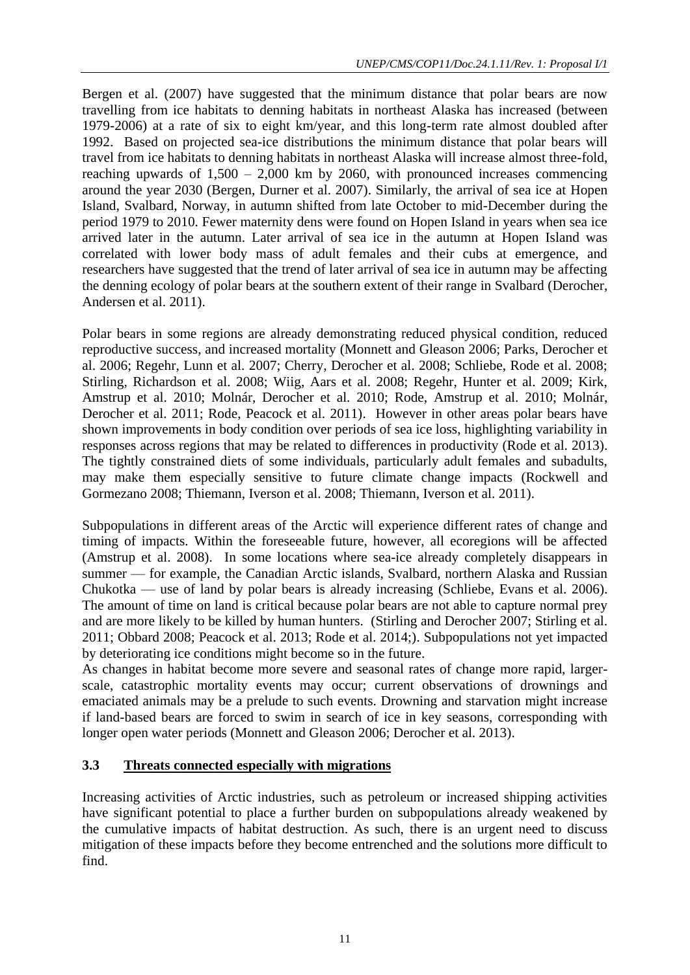Bergen et al. (2007) have suggested that the minimum distance that polar bears are now travelling from ice habitats to denning habitats in northeast Alaska has increased (between 1979-2006) at a rate of six to eight km/year, and this long-term rate almost doubled after 1992. Based on projected sea-ice distributions the minimum distance that polar bears will travel from ice habitats to denning habitats in northeast Alaska will increase almost three-fold, reaching upwards of  $1,500 - 2,000$  km by 2060, with pronounced increases commencing around the year 2030 (Bergen, Durner et al. 2007). Similarly, the arrival of sea ice at Hopen Island, Svalbard, Norway, in autumn shifted from late October to mid-December during the period 1979 to 2010. Fewer maternity dens were found on Hopen Island in years when sea ice arrived later in the autumn. Later arrival of sea ice in the autumn at Hopen Island was correlated with lower body mass of adult females and their cubs at emergence, and researchers have suggested that the trend of later arrival of sea ice in autumn may be affecting the denning ecology of polar bears at the southern extent of their range in Svalbard (Derocher, Andersen et al. 2011).

Polar bears in some regions are already demonstrating reduced physical condition, reduced reproductive success, and increased mortality (Monnett and Gleason 2006; Parks, Derocher et al. 2006; Regehr, Lunn et al. 2007; Cherry, Derocher et al. 2008; Schliebe, Rode et al. 2008; Stirling, Richardson et al. 2008; Wiig, Aars et al. 2008; Regehr, Hunter et al. 2009; Kirk, Amstrup et al. 2010; Molnár, Derocher et al. 2010; Rode, Amstrup et al. 2010; Molnár, Derocher et al. 2011; Rode, Peacock et al. 2011). However in other areas polar bears have shown improvements in body condition over periods of sea ice loss, highlighting variability in responses across regions that may be related to differences in productivity (Rode et al. 2013). The tightly constrained diets of some individuals, particularly adult females and subadults, may make them especially sensitive to future climate change impacts (Rockwell and Gormezano 2008; Thiemann, Iverson et al. 2008; Thiemann, Iverson et al. 2011).

Subpopulations in different areas of the Arctic will experience different rates of change and timing of impacts. Within the foreseeable future, however, all ecoregions will be affected (Amstrup et al. 2008). In some locations where sea-ice already completely disappears in summer — for example, the Canadian Arctic islands, Svalbard, northern Alaska and Russian Chukotka — use of land by polar bears is already increasing (Schliebe, Evans et al. 2006). The amount of time on land is critical because polar bears are not able to capture normal prey and are more likely to be killed by human hunters. (Stirling and Derocher 2007; Stirling et al. 2011; Obbard 2008; Peacock et al. 2013; Rode et al. 2014;). Subpopulations not yet impacted by deteriorating ice conditions might become so in the future.

As changes in habitat become more severe and seasonal rates of change more rapid, largerscale, catastrophic mortality events may occur; current observations of drownings and emaciated animals may be a prelude to such events. Drowning and starvation might increase if land-based bears are forced to swim in search of ice in key seasons, corresponding with longer open water periods (Monnett and Gleason 2006; Derocher et al. 2013).

# **3.3 Threats connected especially with migrations**

Increasing activities of Arctic industries, such as petroleum or increased shipping activities have significant potential to place a further burden on subpopulations already weakened by the cumulative impacts of habitat destruction. As such, there is an urgent need to discuss mitigation of these impacts before they become entrenched and the solutions more difficult to find.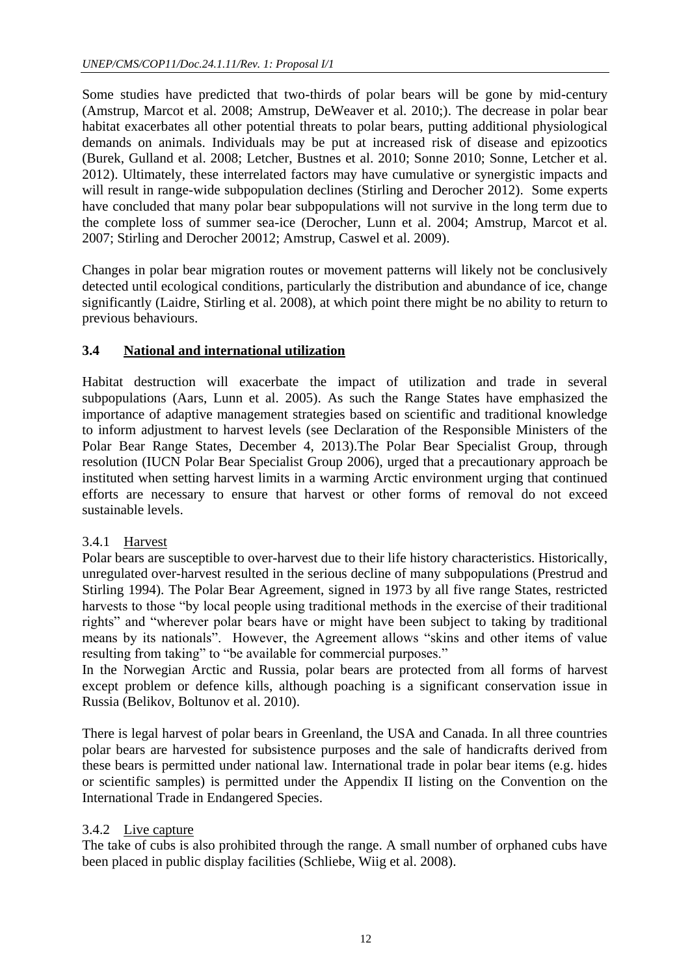Some studies have predicted that two-thirds of polar bears will be gone by mid-century (Amstrup, Marcot et al. 2008; Amstrup, DeWeaver et al. 2010;). The decrease in polar bear habitat exacerbates all other potential threats to polar bears, putting additional physiological demands on animals. Individuals may be put at increased risk of disease and epizootics (Burek, Gulland et al. 2008; Letcher, Bustnes et al. 2010; Sonne 2010; Sonne, Letcher et al. 2012). Ultimately, these interrelated factors may have cumulative or synergistic impacts and will result in range-wide subpopulation declines (Stirling and Derocher 2012). Some experts have concluded that many polar bear subpopulations will not survive in the long term due to the complete loss of summer sea-ice (Derocher, Lunn et al. 2004; Amstrup, Marcot et al. 2007; Stirling and Derocher 20012; Amstrup, Caswel et al. 2009).

Changes in polar bear migration routes or movement patterns will likely not be conclusively detected until ecological conditions, particularly the distribution and abundance of ice, change significantly (Laidre, Stirling et al. 2008), at which point there might be no ability to return to previous behaviours.

# **3.4 National and international utilization**

Habitat destruction will exacerbate the impact of utilization and trade in several subpopulations (Aars, Lunn et al. 2005). As such the Range States have emphasized the importance of adaptive management strategies based on scientific and traditional knowledge to inform adjustment to harvest levels (see Declaration of the Responsible Ministers of the Polar Bear Range States, December 4, 2013).The Polar Bear Specialist Group, through resolution (IUCN Polar Bear Specialist Group 2006), urged that a precautionary approach be instituted when setting harvest limits in a warming Arctic environment urging that continued efforts are necessary to ensure that harvest or other forms of removal do not exceed sustainable levels.

# 3.4.1 Harvest

Polar bears are susceptible to over-harvest due to their life history characteristics. Historically, unregulated over-harvest resulted in the serious decline of many subpopulations (Prestrud and Stirling 1994). The Polar Bear Agreement, signed in 1973 by all five range States, restricted harvests to those "by local people using traditional methods in the exercise of their traditional rights" and "wherever polar bears have or might have been subject to taking by traditional means by its nationals". However, the Agreement allows "skins and other items of value resulting from taking" to "be available for commercial purposes."

In the Norwegian Arctic and Russia, polar bears are protected from all forms of harvest except problem or defence kills, although poaching is a significant conservation issue in Russia (Belikov, Boltunov et al. 2010).

There is legal harvest of polar bears in Greenland, the USA and Canada. In all three countries polar bears are harvested for subsistence purposes and the sale of handicrafts derived from these bears is permitted under national law. International trade in polar bear items (e.g. hides or scientific samples) is permitted under the Appendix II listing on the Convention on the International Trade in Endangered Species.

# 3.4.2 Live capture

The take of cubs is also prohibited through the range. A small number of orphaned cubs have been placed in public display facilities (Schliebe, Wiig et al. 2008).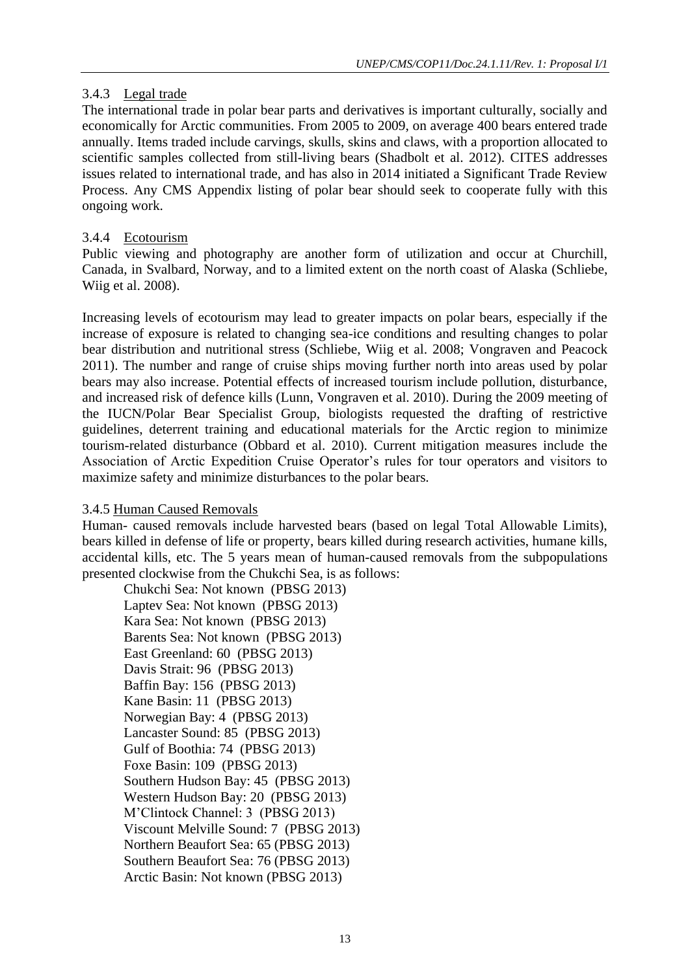# 3.4.3 Legal trade

The international trade in polar bear parts and derivatives is important culturally, socially and economically for Arctic communities. From 2005 to 2009, on average 400 bears entered trade annually. Items traded include carvings, skulls, skins and claws, with a proportion allocated to scientific samples collected from still-living bears (Shadbolt et al. 2012). CITES addresses issues related to international trade, and has also in 2014 initiated a Significant Trade Review Process. Any CMS Appendix listing of polar bear should seek to cooperate fully with this ongoing work.

# 3.4.4 Ecotourism

Public viewing and photography are another form of utilization and occur at Churchill, Canada, in Svalbard, Norway, and to a limited extent on the north coast of Alaska (Schliebe, Wiig et al. 2008).

Increasing levels of ecotourism may lead to greater impacts on polar bears, especially if the increase of exposure is related to changing sea-ice conditions and resulting changes to polar bear distribution and nutritional stress (Schliebe, Wiig et al. 2008; Vongraven and Peacock 2011). The number and range of cruise ships moving further north into areas used by polar bears may also increase. Potential effects of increased tourism include pollution, disturbance, and increased risk of defence kills (Lunn, Vongraven et al. 2010). During the 2009 meeting of the IUCN/Polar Bear Specialist Group, biologists requested the drafting of restrictive guidelines, deterrent training and educational materials for the Arctic region to minimize tourism-related disturbance (Obbard et al. 2010). Current mitigation measures include the Association of Arctic Expedition Cruise Operator's rules for tour operators and visitors to maximize safety and minimize disturbances to the polar bears.

# 3.4.5 Human Caused Removals

Human- caused removals include harvested bears (based on legal Total Allowable Limits), bears killed in defense of life or property, bears killed during research activities, humane kills, accidental kills, etc. The 5 years mean of human-caused removals from the subpopulations presented clockwise from the Chukchi Sea, is as follows:

Chukchi Sea: Not known (PBSG 2013) Laptev Sea: Not known (PBSG 2013) Kara Sea: Not known (PBSG 2013) Barents Sea: Not known (PBSG 2013) East Greenland: 60 (PBSG 2013) Davis Strait: 96 (PBSG 2013) Baffin Bay: 156 (PBSG 2013) Kane Basin: 11 (PBSG 2013) Norwegian Bay: 4 (PBSG 2013) Lancaster Sound: 85 (PBSG 2013) Gulf of Boothia: 74 (PBSG 2013) Foxe Basin: 109 (PBSG 2013) Southern Hudson Bay: 45 (PBSG 2013) Western Hudson Bay: 20 (PBSG 2013) M'Clintock Channel: 3 (PBSG 2013) Viscount Melville Sound: 7 (PBSG 2013) Northern Beaufort Sea: 65 (PBSG 2013) Southern Beaufort Sea: 76 (PBSG 2013) Arctic Basin: Not known (PBSG 2013)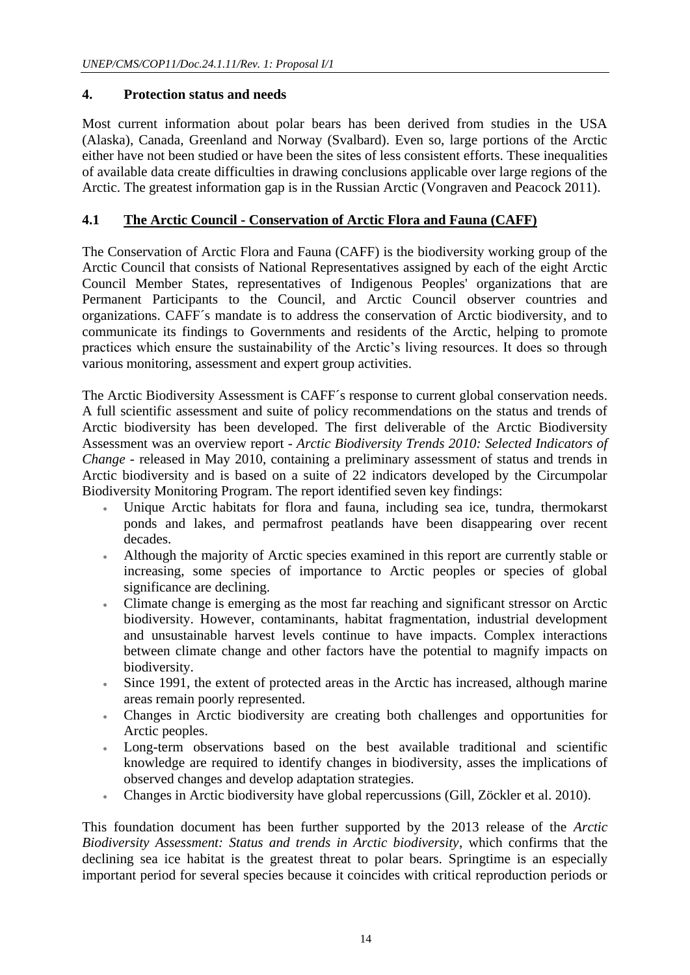# **4. Protection status and needs**

Most current information about polar bears has been derived from studies in the USA (Alaska), Canada, Greenland and Norway (Svalbard). Even so, large portions of the Arctic either have not been studied or have been the sites of less consistent efforts. These inequalities of available data create difficulties in drawing conclusions applicable over large regions of the Arctic. The greatest information gap is in the Russian Arctic (Vongraven and Peacock 2011).

# **4.1 The Arctic Council - Conservation of Arctic Flora and Fauna (CAFF)**

The Conservation of Arctic Flora and Fauna (CAFF) is the biodiversity working group of the Arctic Council that consists of National Representatives assigned by each of the eight Arctic Council Member States, representatives of Indigenous Peoples' organizations that are Permanent Participants to the Council, and Arctic Council observer countries and organizations. CAFF´s mandate is to address the conservation of Arctic biodiversity, and to communicate its findings to Governments and residents of the Arctic, helping to promote practices which ensure the sustainability of the Arctic's living resources. It does so through various monitoring, assessment and expert group activities.

The Arctic Biodiversity Assessment is CAFF´s response to current global conservation needs. A full scientific assessment and suite of policy recommendations on the status and trends of Arctic biodiversity has been developed. The first deliverable of the Arctic Biodiversity Assessment was an overview report - *Arctic Biodiversity Trends 2010: Selected Indicators of Change* - released in May 2010, containing a preliminary assessment of status and trends in Arctic biodiversity and is based on a suite of 22 indicators developed by the Circumpolar Biodiversity Monitoring Program. The report identified seven key findings:

- Unique Arctic habitats for flora and fauna, including sea ice, tundra, thermokarst ponds and lakes, and permafrost peatlands have been disappearing over recent decades.
- Although the majority of Arctic species examined in this report are currently stable or increasing, some species of importance to Arctic peoples or species of global significance are declining.
- Climate change is emerging as the most far reaching and significant stressor on Arctic biodiversity. However, contaminants, habitat fragmentation, industrial development and unsustainable harvest levels continue to have impacts. Complex interactions between climate change and other factors have the potential to magnify impacts on biodiversity.
- Since 1991, the extent of protected areas in the Arctic has increased, although marine areas remain poorly represented.
- Changes in Arctic biodiversity are creating both challenges and opportunities for Arctic peoples.
- Long-term observations based on the best available traditional and scientific knowledge are required to identify changes in biodiversity, asses the implications of observed changes and develop adaptation strategies.
- Changes in Arctic biodiversity have global repercussions (Gill, Zöckler et al. 2010).

This foundation document has been further supported by the 2013 release of the *Arctic Biodiversity Assessment: Status and trends in Arctic biodiversity*, which confirms that the declining sea ice habitat is the greatest threat to polar bears. Springtime is an especially important period for several species because it coincides with critical reproduction periods or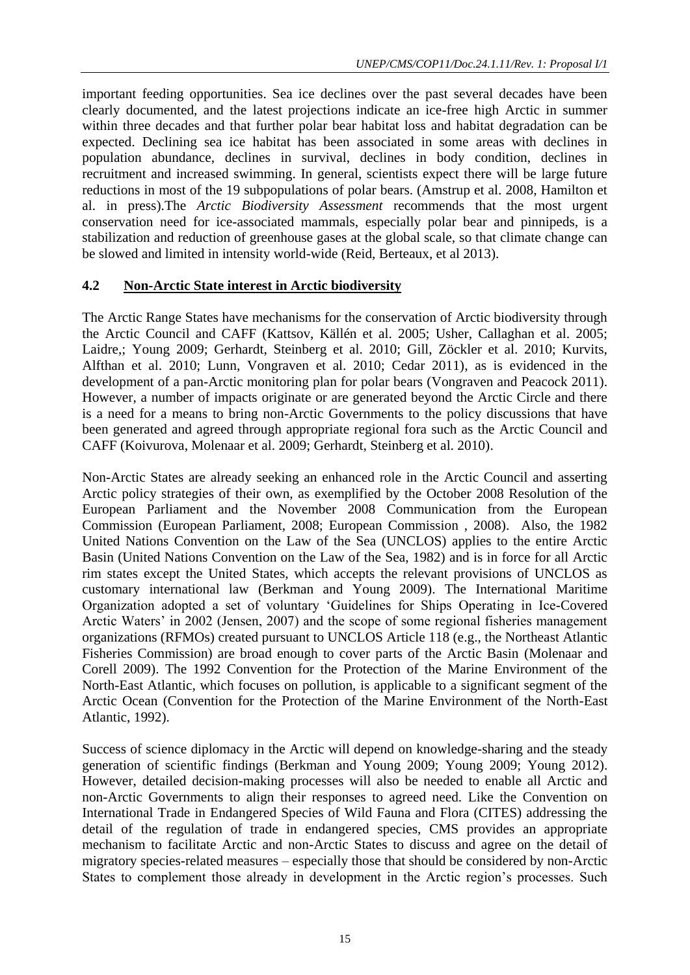important feeding opportunities. Sea ice declines over the past several decades have been clearly documented, and the latest projections indicate an ice-free high Arctic in summer within three decades and that further polar bear habitat loss and habitat degradation can be expected. Declining sea ice habitat has been associated in some areas with declines in population abundance, declines in survival, declines in body condition, declines in recruitment and increased swimming. In general, scientists expect there will be large future reductions in most of the 19 subpopulations of polar bears. (Amstrup et al. 2008, Hamilton et al. in press).The *Arctic Biodiversity Assessment* recommends that the most urgent conservation need for ice-associated mammals, especially polar bear and pinnipeds, is a stabilization and reduction of greenhouse gases at the global scale, so that climate change can be slowed and limited in intensity world-wide (Reid, Berteaux, et al 2013).

# **4.2 Non-Arctic State interest in Arctic biodiversity**

The Arctic Range States have mechanisms for the conservation of Arctic biodiversity through the Arctic Council and CAFF (Kattsov, Källén et al. 2005; Usher, Callaghan et al. 2005; Laidre,; Young 2009; Gerhardt, Steinberg et al. 2010; Gill, Zöckler et al. 2010; Kurvits, Alfthan et al. 2010; Lunn, Vongraven et al. 2010; Cedar 2011), as is evidenced in the development of a pan-Arctic monitoring plan for polar bears (Vongraven and Peacock 2011). However, a number of impacts originate or are generated beyond the Arctic Circle and there is a need for a means to bring non-Arctic Governments to the policy discussions that have been generated and agreed through appropriate regional fora such as the Arctic Council and CAFF (Koivurova, Molenaar et al. 2009; Gerhardt, Steinberg et al. 2010).

Non-Arctic States are already seeking an enhanced role in the Arctic Council and asserting Arctic policy strategies of their own, as exemplified by the October 2008 Resolution of the European Parliament and the November 2008 Communication from the European Commission (European Parliament, 2008; European Commission , 2008). Also, the 1982 United Nations Convention on the Law of the Sea (UNCLOS) applies to the entire Arctic Basin (United Nations Convention on the Law of the Sea, 1982) and is in force for all Arctic rim states except the United States, which accepts the relevant provisions of UNCLOS as customary international law (Berkman and Young 2009). The International Maritime Organization adopted a set of voluntary 'Guidelines for Ships Operating in Ice-Covered Arctic Waters' in 2002 (Jensen, 2007) and the scope of some regional fisheries management organizations (RFMOs) created pursuant to UNCLOS Article 118 (e.g., the Northeast Atlantic Fisheries Commission) are broad enough to cover parts of the Arctic Basin (Molenaar and Corell 2009). The 1992 Convention for the Protection of the Marine Environment of the North-East Atlantic, which focuses on pollution, is applicable to a significant segment of the Arctic Ocean (Convention for the Protection of the Marine Environment of the North-East Atlantic, 1992).

Success of science diplomacy in the Arctic will depend on knowledge-sharing and the steady generation of scientific findings (Berkman and Young 2009; Young 2009; Young 2012). However, detailed decision-making processes will also be needed to enable all Arctic and non-Arctic Governments to align their responses to agreed need. Like the Convention on International Trade in Endangered Species of Wild Fauna and Flora (CITES) addressing the detail of the regulation of trade in endangered species, CMS provides an appropriate mechanism to facilitate Arctic and non-Arctic States to discuss and agree on the detail of migratory species-related measures – especially those that should be considered by non-Arctic States to complement those already in development in the Arctic region's processes. Such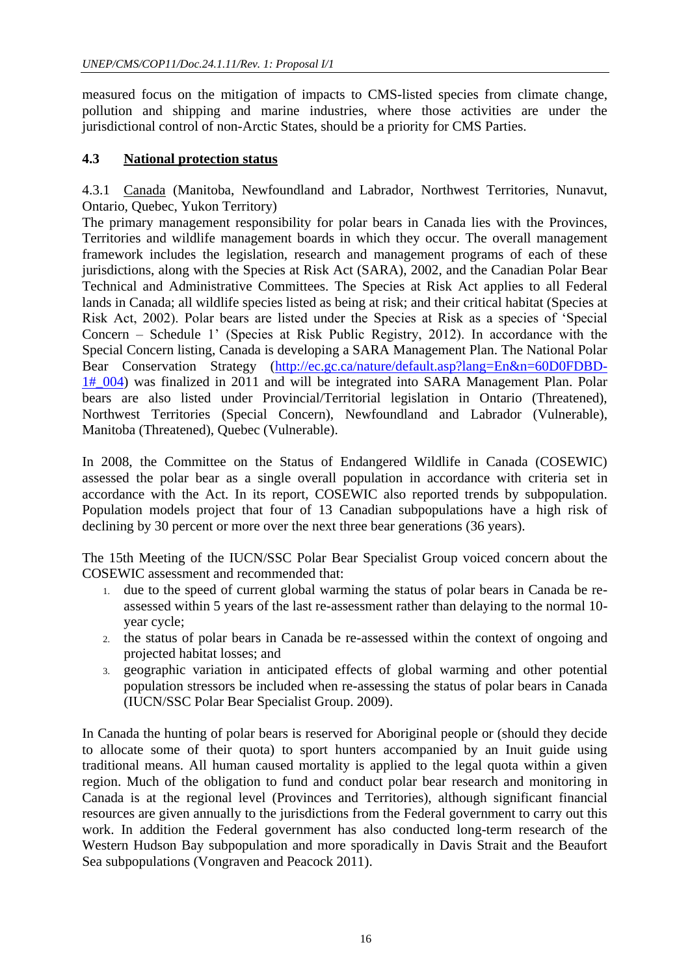measured focus on the mitigation of impacts to CMS-listed species from climate change, pollution and shipping and marine industries, where those activities are under the jurisdictional control of non-Arctic States, should be a priority for CMS Parties.

# **4.3 National protection status**

4.3.1 Canada (Manitoba, Newfoundland and Labrador, Northwest Territories, Nunavut, Ontario, Quebec, Yukon Territory)

The primary management responsibility for polar bears in Canada lies with the Provinces, Territories and wildlife management boards in which they occur. The overall management framework includes the legislation, research and management programs of each of these jurisdictions, along with the Species at Risk Act (SARA), 2002, and the Canadian Polar Bear Technical and Administrative Committees. The Species at Risk Act applies to all Federal lands in Canada; all wildlife species listed as being at risk; and their critical habitat (Species at Risk Act, 2002). Polar bears are listed under the Species at Risk as a species of 'Special Concern – Schedule 1' (Species at Risk Public Registry, 2012). In accordance with the Special Concern listing, Canada is developing a SARA Management Plan. The National Polar Bear Conservation Strategy [\(http://ec.gc.ca/nature/default.asp?lang=En&n=60D0FDBD-](http://ec.gc.ca/nature/default.asp?lang=En&n=60D0FDBD-1#_004)[1#\\_004\)](http://ec.gc.ca/nature/default.asp?lang=En&n=60D0FDBD-1#_004) was finalized in 2011 and will be integrated into SARA Management Plan. Polar bears are also listed under Provincial/Territorial legislation in Ontario (Threatened), Northwest Territories (Special Concern), Newfoundland and Labrador (Vulnerable), Manitoba (Threatened), Quebec (Vulnerable).

In 2008, the Committee on the Status of Endangered Wildlife in Canada (COSEWIC) assessed the polar bear as a single overall population in accordance with criteria set in accordance with the Act. In its report, COSEWIC also reported trends by subpopulation. Population models project that four of 13 Canadian subpopulations have a high risk of declining by 30 percent or more over the next three bear generations (36 years).

The 15th Meeting of the IUCN/SSC Polar Bear Specialist Group voiced concern about the COSEWIC assessment and recommended that:

- 1. due to the speed of current global warming the status of polar bears in Canada be reassessed within 5 years of the last re-assessment rather than delaying to the normal 10 year cycle;
- 2. the status of polar bears in Canada be re-assessed within the context of ongoing and projected habitat losses; and
- 3. geographic variation in anticipated effects of global warming and other potential population stressors be included when re-assessing the status of polar bears in Canada (IUCN/SSC Polar Bear Specialist Group. 2009).

In Canada the hunting of polar bears is reserved for Aboriginal people or (should they decide to allocate some of their quota) to sport hunters accompanied by an Inuit guide using traditional means. All human caused mortality is applied to the legal quota within a given region. Much of the obligation to fund and conduct polar bear research and monitoring in Canada is at the regional level (Provinces and Territories), although significant financial resources are given annually to the jurisdictions from the Federal government to carry out this work. In addition the Federal government has also conducted long-term research of the Western Hudson Bay subpopulation and more sporadically in Davis Strait and the Beaufort Sea subpopulations (Vongraven and Peacock 2011).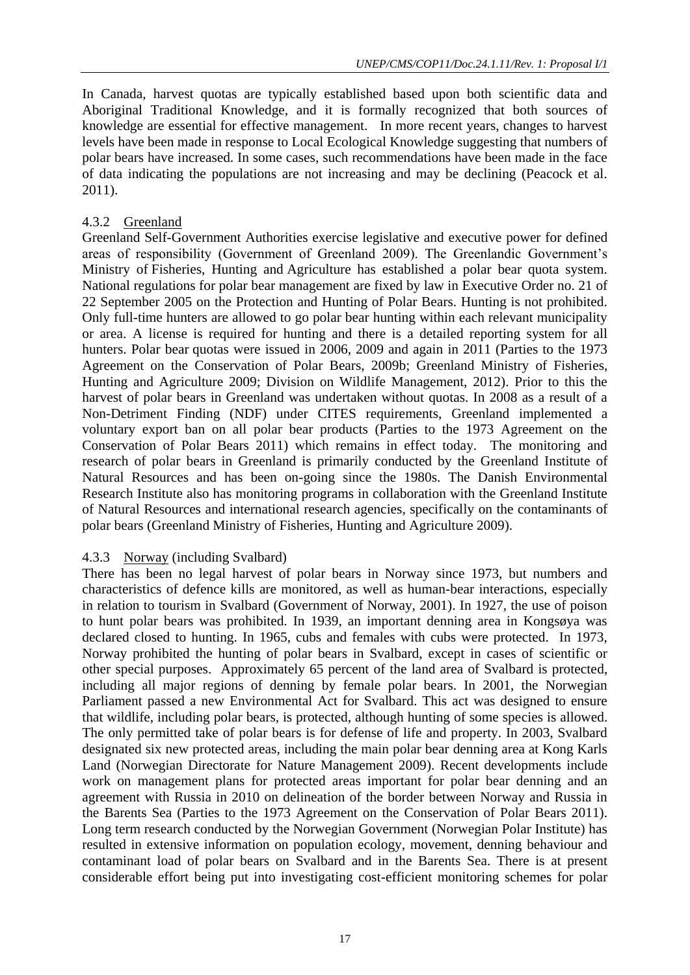In Canada, harvest quotas are typically established based upon both scientific data and Aboriginal Traditional Knowledge, and it is formally recognized that both sources of knowledge are essential for effective management. In more recent years, changes to harvest levels have been made in response to Local Ecological Knowledge suggesting that numbers of polar bears have increased. In some cases, such recommendations have been made in the face of data indicating the populations are not increasing and may be declining (Peacock et al. 2011).

# 4.3.2 Greenland

Greenland Self-Government Authorities exercise legislative and executive power for defined areas of responsibility (Government of Greenland 2009). The Greenlandic Government's Ministry of Fisheries, Hunting and Agriculture has established a polar bear quota system. National regulations for polar bear management are fixed by law in Executive Order no. 21 of 22 September 2005 on the Protection and Hunting of Polar Bears. Hunting is not prohibited. Only full-time hunters are allowed to go polar bear hunting within each relevant municipality or area. A license is required for hunting and there is a detailed reporting system for all hunters. Polar bear quotas were issued in 2006, 2009 and again in 2011 (Parties to the 1973 Agreement on the Conservation of Polar Bears, 2009b; Greenland Ministry of Fisheries, Hunting and Agriculture 2009; Division on Wildlife Management, 2012). Prior to this the harvest of polar bears in Greenland was undertaken without quotas. In 2008 as a result of a Non-Detriment Finding (NDF) under CITES requirements, Greenland implemented a voluntary export ban on all polar bear products (Parties to the 1973 Agreement on the Conservation of Polar Bears 2011) which remains in effect today. The monitoring and research of polar bears in Greenland is primarily conducted by the Greenland Institute of Natural Resources and has been on-going since the 1980s. The Danish Environmental Research Institute also has monitoring programs in collaboration with the Greenland Institute of Natural Resources and international research agencies, specifically on the contaminants of polar bears (Greenland Ministry of Fisheries, Hunting and Agriculture 2009).

# 4.3.3 Norway (including Svalbard)

There has been no legal harvest of polar bears in Norway since 1973, but numbers and characteristics of defence kills are monitored, as well as human-bear interactions, especially in relation to tourism in Svalbard (Government of Norway, 2001). In 1927, the use of poison to hunt polar bears was prohibited. In 1939, an important denning area in Kongsøya was declared closed to hunting. In 1965, cubs and females with cubs were protected. In 1973, Norway prohibited the hunting of polar bears in Svalbard, except in cases of scientific or other special purposes. Approximately 65 percent of the land area of Svalbard is protected, including all major regions of denning by female polar bears. In 2001, the Norwegian Parliament passed a new Environmental Act for Svalbard. This act was designed to ensure that wildlife, including polar bears, is protected, although hunting of some species is allowed. The only permitted take of polar bears is for defense of life and property. In 2003, Svalbard designated six new protected areas, including the main polar bear denning area at Kong Karls Land (Norwegian Directorate for Nature Management 2009). Recent developments include work on management plans for protected areas important for polar bear denning and an agreement with Russia in 2010 on delineation of the border between Norway and Russia in the Barents Sea (Parties to the 1973 Agreement on the Conservation of Polar Bears 2011). Long term research conducted by the Norwegian Government (Norwegian Polar Institute) has resulted in extensive information on population ecology, movement, denning behaviour and contaminant load of polar bears on Svalbard and in the Barents Sea. There is at present considerable effort being put into investigating cost-efficient monitoring schemes for polar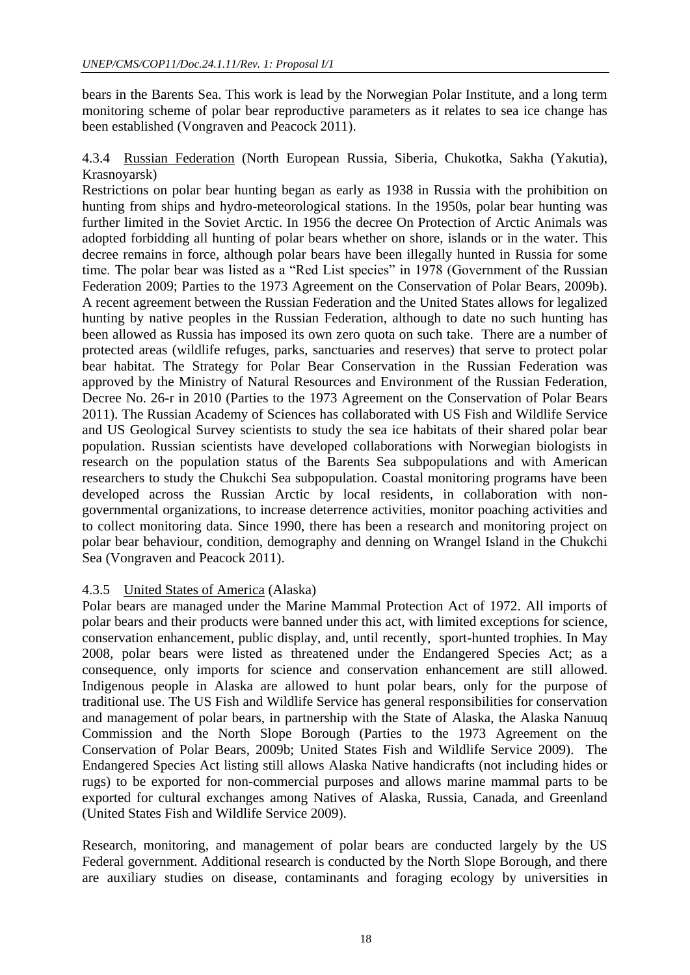bears in the Barents Sea. This work is lead by the Norwegian Polar Institute, and a long term monitoring scheme of polar bear reproductive parameters as it relates to sea ice change has been established (Vongraven and Peacock 2011).

4.3.4 Russian Federation (North European Russia, Siberia, Chukotka, Sakha (Yakutia), Krasnoyarsk)

Restrictions on polar bear hunting began as early as 1938 in Russia with the prohibition on hunting from ships and hydro-meteorological stations. In the 1950s, polar bear hunting was further limited in the Soviet Arctic. In 1956 the decree On Protection of Arctic Animals was adopted forbidding all hunting of polar bears whether on shore, islands or in the water. This decree remains in force, although polar bears have been illegally hunted in Russia for some time. The polar bear was listed as a "Red List species" in 1978 (Government of the Russian Federation 2009; Parties to the 1973 Agreement on the Conservation of Polar Bears, 2009b). A recent agreement between the Russian Federation and the United States allows for legalized hunting by native peoples in the Russian Federation, although to date no such hunting has been allowed as Russia has imposed its own zero quota on such take. There are a number of protected areas (wildlife refuges, parks, sanctuaries and reserves) that serve to protect polar bear habitat. The Strategy for Polar Bear Conservation in the Russian Federation was approved by the Ministry of Natural Resources and Environment of the Russian Federation, Decree No. 26-r in 2010 (Parties to the 1973 Agreement on the Conservation of Polar Bears 2011). The Russian Academy of Sciences has collaborated with US Fish and Wildlife Service and US Geological Survey scientists to study the sea ice habitats of their shared polar bear population. Russian scientists have developed collaborations with Norwegian biologists in research on the population status of the Barents Sea subpopulations and with American researchers to study the Chukchi Sea subpopulation. Coastal monitoring programs have been developed across the Russian Arctic by local residents, in collaboration with nongovernmental organizations, to increase deterrence activities, monitor poaching activities and to collect monitoring data. Since 1990, there has been a research and monitoring project on polar bear behaviour, condition, demography and denning on Wrangel Island in the Chukchi Sea (Vongraven and Peacock 2011).

#### 4.3.5 United States of America (Alaska)

Polar bears are managed under the Marine Mammal Protection Act of 1972. All imports of polar bears and their products were banned under this act, with limited exceptions for science, conservation enhancement, public display, and, until recently, sport-hunted trophies. In May 2008, polar bears were listed as threatened under the Endangered Species Act; as a consequence, only imports for science and conservation enhancement are still allowed. Indigenous people in Alaska are allowed to hunt polar bears, only for the purpose of traditional use. The US Fish and Wildlife Service has general responsibilities for conservation and management of polar bears, in partnership with the State of Alaska, the Alaska Nanuuq Commission and the North Slope Borough (Parties to the 1973 Agreement on the Conservation of Polar Bears, 2009b; United States Fish and Wildlife Service 2009). The Endangered Species Act listing still allows Alaska Native handicrafts (not including hides or rugs) to be exported for non-commercial purposes and allows marine mammal parts to be exported for cultural exchanges among Natives of Alaska, Russia, Canada, and Greenland (United States Fish and Wildlife Service 2009).

Research, monitoring, and management of polar bears are conducted largely by the US Federal government. Additional research is conducted by the North Slope Borough, and there are auxiliary studies on disease, contaminants and foraging ecology by universities in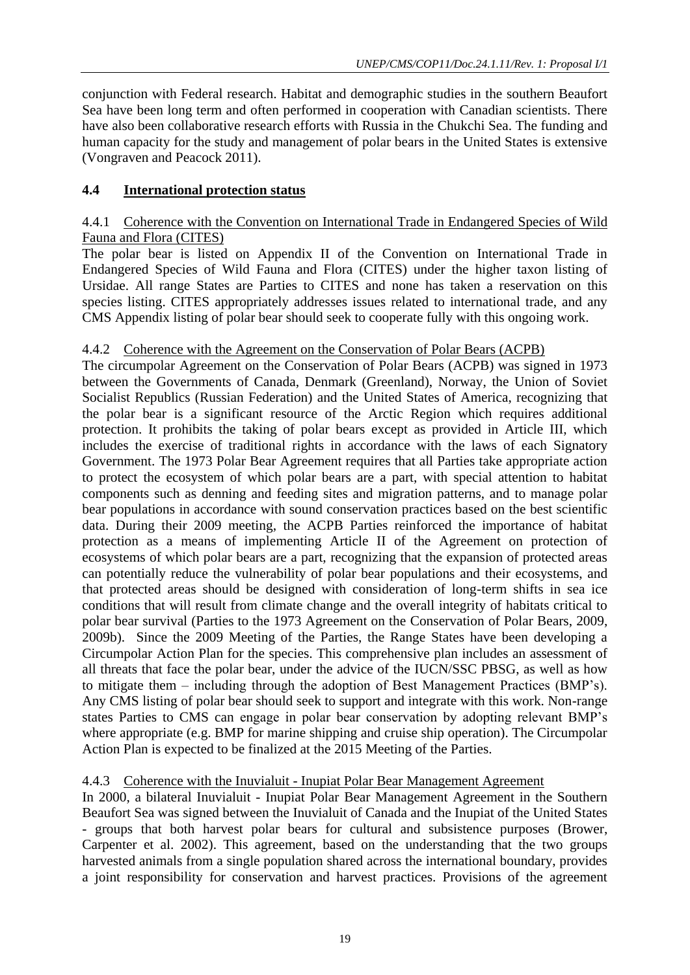conjunction with Federal research. Habitat and demographic studies in the southern Beaufort Sea have been long term and often performed in cooperation with Canadian scientists. There have also been collaborative research efforts with Russia in the Chukchi Sea. The funding and human capacity for the study and management of polar bears in the United States is extensive (Vongraven and Peacock 2011).

# **4.4 International protection status**

#### 4.4.1 Coherence with the Convention on International Trade in Endangered Species of Wild Fauna and Flora (CITES)

The polar bear is listed on Appendix II of the Convention on International Trade in Endangered Species of Wild Fauna and Flora (CITES) under the higher taxon listing of Ursidae. All range States are Parties to CITES and none has taken a reservation on this species listing. CITES appropriately addresses issues related to international trade, and any CMS Appendix listing of polar bear should seek to cooperate fully with this ongoing work.

# 4.4.2 Coherence with the Agreement on the Conservation of Polar Bears (ACPB)

The circumpolar Agreement on the Conservation of Polar Bears (ACPB) was signed in 1973 between the Governments of Canada, Denmark (Greenland), Norway, the Union of Soviet Socialist Republics (Russian Federation) and the United States of America, recognizing that the polar bear is a significant resource of the Arctic Region which requires additional protection. It prohibits the taking of polar bears except as provided in Article III, which includes the exercise of traditional rights in accordance with the laws of each Signatory Government. The 1973 Polar Bear Agreement requires that all Parties take appropriate action to protect the ecosystem of which polar bears are a part, with special attention to habitat components such as denning and feeding sites and migration patterns, and to manage polar bear populations in accordance with sound conservation practices based on the best scientific data. During their 2009 meeting, the ACPB Parties reinforced the importance of habitat protection as a means of implementing Article II of the Agreement on protection of ecosystems of which polar bears are a part, recognizing that the expansion of protected areas can potentially reduce the vulnerability of polar bear populations and their ecosystems, and that protected areas should be designed with consideration of long-term shifts in sea ice conditions that will result from climate change and the overall integrity of habitats critical to polar bear survival (Parties to the 1973 Agreement on the Conservation of Polar Bears, 2009, 2009b). Since the 2009 Meeting of the Parties, the Range States have been developing a Circumpolar Action Plan for the species. This comprehensive plan includes an assessment of all threats that face the polar bear, under the advice of the IUCN/SSC PBSG, as well as how to mitigate them – including through the adoption of Best Management Practices (BMP's). Any CMS listing of polar bear should seek to support and integrate with this work. Non-range states Parties to CMS can engage in polar bear conservation by adopting relevant BMP's where appropriate (e.g. BMP for marine shipping and cruise ship operation). The Circumpolar Action Plan is expected to be finalized at the 2015 Meeting of the Parties.

# 4.4.3 Coherence with the Inuvialuit - Inupiat Polar Bear Management Agreement

In 2000, a bilateral Inuvialuit - Inupiat Polar Bear Management Agreement in the Southern Beaufort Sea was signed between the Inuvialuit of Canada and the Inupiat of the United States - groups that both harvest polar bears for cultural and subsistence purposes (Brower, Carpenter et al. 2002). This agreement, based on the understanding that the two groups harvested animals from a single population shared across the international boundary, provides a joint responsibility for conservation and harvest practices. Provisions of the agreement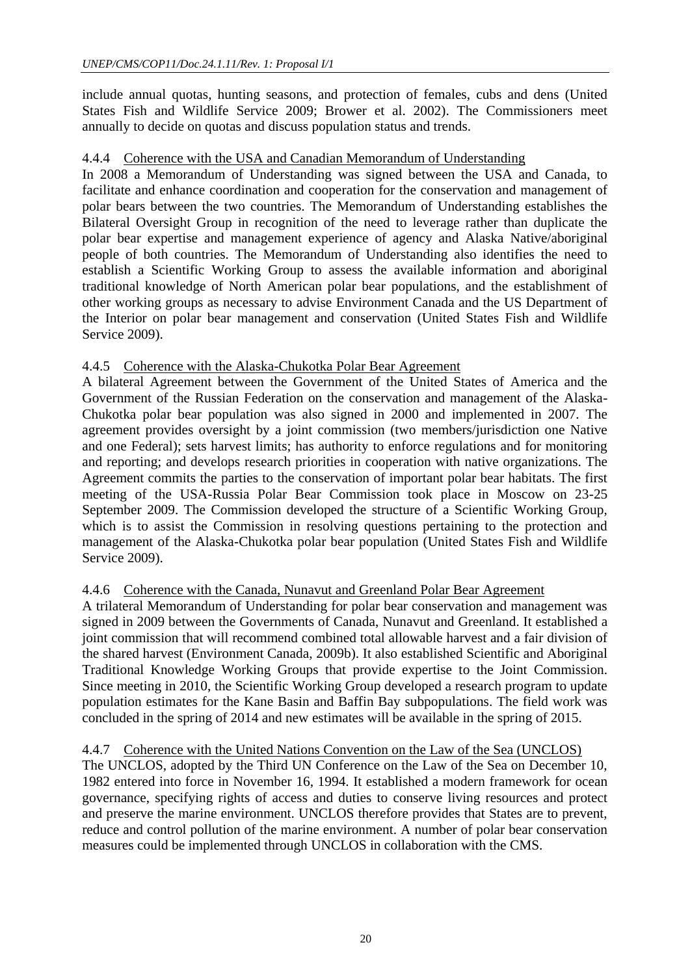include annual quotas, hunting seasons, and protection of females, cubs and dens (United States Fish and Wildlife Service 2009; Brower et al. 2002). The Commissioners meet annually to decide on quotas and discuss population status and trends.

#### 4.4.4 Coherence with the USA and Canadian Memorandum of Understanding

In 2008 a Memorandum of Understanding was signed between the USA and Canada, to facilitate and enhance coordination and cooperation for the conservation and management of polar bears between the two countries. The Memorandum of Understanding establishes the Bilateral Oversight Group in recognition of the need to leverage rather than duplicate the polar bear expertise and management experience of agency and Alaska Native/aboriginal people of both countries. The Memorandum of Understanding also identifies the need to establish a Scientific Working Group to assess the available information and aboriginal traditional knowledge of North American polar bear populations, and the establishment of other working groups as necessary to advise Environment Canada and the US Department of the Interior on polar bear management and conservation (United States Fish and Wildlife Service 2009).

#### 4.4.5 Coherence with the Alaska-Chukotka Polar Bear Agreement

A bilateral Agreement between the Government of the United States of America and the Government of the Russian Federation on the conservation and management of the Alaska-Chukotka polar bear population was also signed in 2000 and implemented in 2007. The agreement provides oversight by a joint commission (two members/jurisdiction one Native and one Federal); sets harvest limits; has authority to enforce regulations and for monitoring and reporting; and develops research priorities in cooperation with native organizations. The Agreement commits the parties to the conservation of important polar bear habitats. The first meeting of the USA-Russia Polar Bear Commission took place in Moscow on 23-25 September 2009. The Commission developed the structure of a Scientific Working Group, which is to assist the Commission in resolving questions pertaining to the protection and management of the Alaska-Chukotka polar bear population (United States Fish and Wildlife Service 2009).

# 4.4.6 Coherence with the Canada, Nunavut and Greenland Polar Bear Agreement

A trilateral Memorandum of Understanding for polar bear conservation and management was signed in 2009 between the Governments of Canada, Nunavut and Greenland. It established a joint commission that will recommend combined total allowable harvest and a fair division of the shared harvest (Environment Canada, 2009b). It also established Scientific and Aboriginal Traditional Knowledge Working Groups that provide expertise to the Joint Commission. Since meeting in 2010, the Scientific Working Group developed a research program to update population estimates for the Kane Basin and Baffin Bay subpopulations. The field work was concluded in the spring of 2014 and new estimates will be available in the spring of 2015.

# 4.4.7 Coherence with the United Nations Convention on the Law of the Sea (UNCLOS)

The UNCLOS, adopted by the Third UN Conference on the Law of the Sea on December 10, 1982 entered into force in November 16, 1994. It established a modern framework for ocean governance, specifying rights of access and duties to conserve living resources and protect and preserve the marine environment. UNCLOS therefore provides that States are to prevent, reduce and control pollution of the marine environment. A number of polar bear conservation measures could be implemented through UNCLOS in collaboration with the CMS.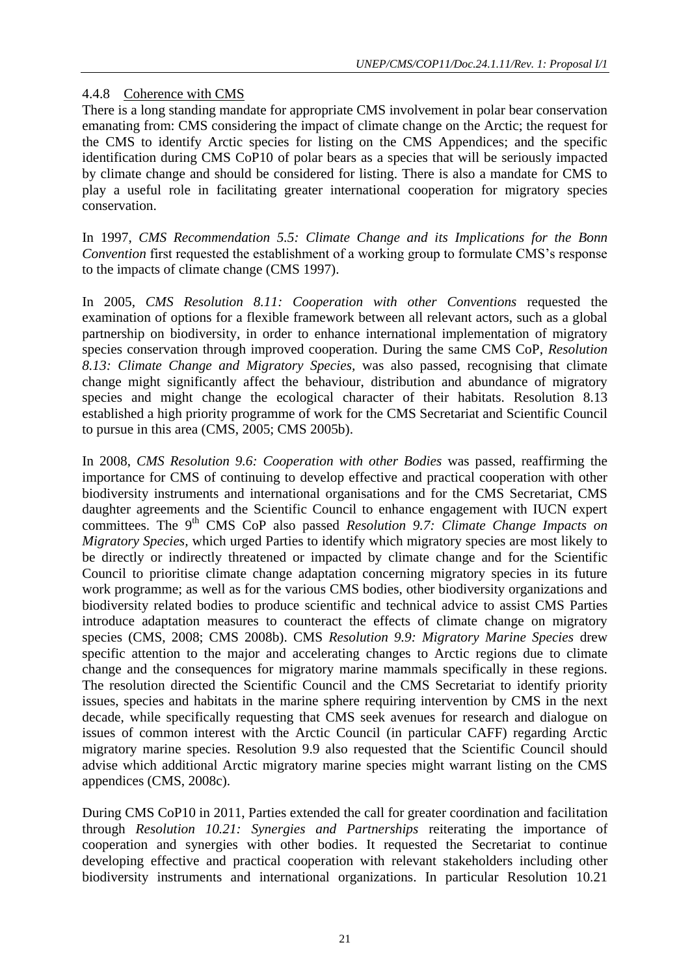# 4.4.8 Coherence with CMS

There is a long standing mandate for appropriate CMS involvement in polar bear conservation emanating from: CMS considering the impact of climate change on the Arctic; the request for the CMS to identify Arctic species for listing on the CMS Appendices; and the specific identification during CMS CoP10 of polar bears as a species that will be seriously impacted by climate change and should be considered for listing. There is also a mandate for CMS to play a useful role in facilitating greater international cooperation for migratory species conservation.

In 1997, *CMS Recommendation 5.5: Climate Change and its Implications for the Bonn Convention* first requested the establishment of a working group to formulate CMS's response to the impacts of climate change (CMS 1997).

In 2005, *CMS Resolution 8.11: Cooperation with other Conventions* requested the examination of options for a flexible framework between all relevant actors, such as a global partnership on biodiversity, in order to enhance international implementation of migratory species conservation through improved cooperation. During the same CMS CoP, *Resolution 8.13: Climate Change and Migratory Species,* was also passed, recognising that climate change might significantly affect the behaviour, distribution and abundance of migratory species and might change the ecological character of their habitats. Resolution 8.13 established a high priority programme of work for the CMS Secretariat and Scientific Council to pursue in this area (CMS, 2005; CMS 2005b).

In 2008, *CMS Resolution 9.6: Cooperation with other Bodies* was passed, reaffirming the importance for CMS of continuing to develop effective and practical cooperation with other biodiversity instruments and international organisations and for the CMS Secretariat, CMS daughter agreements and the Scientific Council to enhance engagement with IUCN expert committees. The 9<sup>th</sup> CMS CoP also passed *Resolution 9.7: Climate Change Impacts on Migratory Species,* which urged Parties to identify which migratory species are most likely to be directly or indirectly threatened or impacted by climate change and for the Scientific Council to prioritise climate change adaptation concerning migratory species in its future work programme; as well as for the various CMS bodies, other biodiversity organizations and biodiversity related bodies to produce scientific and technical advice to assist CMS Parties introduce adaptation measures to counteract the effects of climate change on migratory species (CMS, 2008; CMS 2008b). CMS *Resolution 9.9: Migratory Marine Species* drew specific attention to the major and accelerating changes to Arctic regions due to climate change and the consequences for migratory marine mammals specifically in these regions. The resolution directed the Scientific Council and the CMS Secretariat to identify priority issues, species and habitats in the marine sphere requiring intervention by CMS in the next decade, while specifically requesting that CMS seek avenues for research and dialogue on issues of common interest with the Arctic Council (in particular CAFF) regarding Arctic migratory marine species. Resolution 9.9 also requested that the Scientific Council should advise which additional Arctic migratory marine species might warrant listing on the CMS appendices (CMS, 2008c).

During CMS CoP10 in 2011, Parties extended the call for greater coordination and facilitation through *Resolution 10.21: Synergies and Partnerships* reiterating the importance of cooperation and synergies with other bodies. It requested the Secretariat to continue developing effective and practical cooperation with relevant stakeholders including other biodiversity instruments and international organizations. In particular Resolution 10.21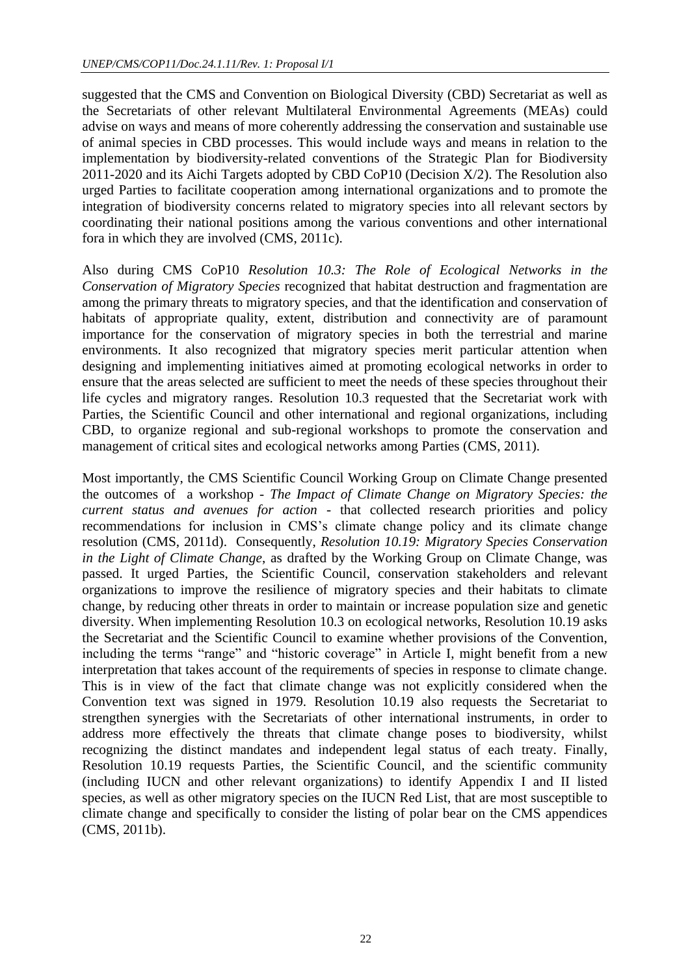suggested that the CMS and Convention on Biological Diversity (CBD) Secretariat as well as the Secretariats of other relevant Multilateral Environmental Agreements (MEAs) could advise on ways and means of more coherently addressing the conservation and sustainable use of animal species in CBD processes. This would include ways and means in relation to the implementation by biodiversity-related conventions of the Strategic Plan for Biodiversity  $2011$ -2020 and its Aichi Targets adopted by CBD CoP10 (Decision  $X/2$ ). The Resolution also urged Parties to facilitate cooperation among international organizations and to promote the integration of biodiversity concerns related to migratory species into all relevant sectors by coordinating their national positions among the various conventions and other international fora in which they are involved (CMS, 2011c).

Also during CMS CoP10 *Resolution 10.3: The Role of Ecological Networks in the Conservation of Migratory Species* recognized that habitat destruction and fragmentation are among the primary threats to migratory species, and that the identification and conservation of habitats of appropriate quality, extent, distribution and connectivity are of paramount importance for the conservation of migratory species in both the terrestrial and marine environments. It also recognized that migratory species merit particular attention when designing and implementing initiatives aimed at promoting ecological networks in order to ensure that the areas selected are sufficient to meet the needs of these species throughout their life cycles and migratory ranges. Resolution 10.3 requested that the Secretariat work with Parties, the Scientific Council and other international and regional organizations, including CBD, to organize regional and sub-regional workshops to promote the conservation and management of critical sites and ecological networks among Parties (CMS, 2011).

Most importantly, the CMS Scientific Council Working Group on Climate Change presented the outcomes of a workshop - *The Impact of Climate Change on Migratory Species: the current status and avenues for action* - that collected research priorities and policy recommendations for inclusion in CMS's climate change policy and its climate change resolution (CMS, 2011d). Consequently, *Resolution 10.19: Migratory Species Conservation in the Light of Climate Change*, as drafted by the Working Group on Climate Change, was passed. It urged Parties, the Scientific Council, conservation stakeholders and relevant organizations to improve the resilience of migratory species and their habitats to climate change, by reducing other threats in order to maintain or increase population size and genetic diversity. When implementing Resolution 10.3 on ecological networks, Resolution 10.19 asks the Secretariat and the Scientific Council to examine whether provisions of the Convention, including the terms "range" and "historic coverage" in Article I, might benefit from a new interpretation that takes account of the requirements of species in response to climate change. This is in view of the fact that climate change was not explicitly considered when the Convention text was signed in 1979. Resolution 10.19 also requests the Secretariat to strengthen synergies with the Secretariats of other international instruments, in order to address more effectively the threats that climate change poses to biodiversity, whilst recognizing the distinct mandates and independent legal status of each treaty. Finally, Resolution 10.19 requests Parties, the Scientific Council, and the scientific community (including IUCN and other relevant organizations) to identify Appendix I and II listed species, as well as other migratory species on the IUCN Red List, that are most susceptible to climate change and specifically to consider the listing of polar bear on the CMS appendices (CMS, 2011b).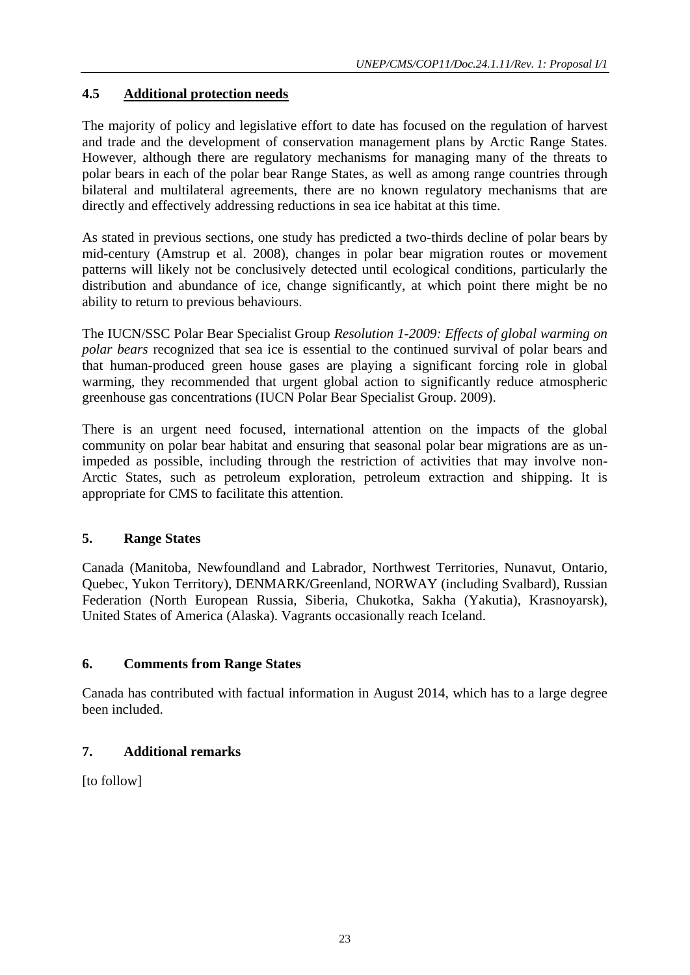# **4.5 Additional protection needs**

The majority of policy and legislative effort to date has focused on the regulation of harvest and trade and the development of conservation management plans by Arctic Range States. However, although there are regulatory mechanisms for managing many of the threats to polar bears in each of the polar bear Range States, as well as among range countries through bilateral and multilateral agreements, there are no known regulatory mechanisms that are directly and effectively addressing reductions in sea ice habitat at this time.

As stated in previous sections, one study has predicted a two-thirds decline of polar bears by mid-century (Amstrup et al. 2008), changes in polar bear migration routes or movement patterns will likely not be conclusively detected until ecological conditions, particularly the distribution and abundance of ice, change significantly, at which point there might be no ability to return to previous behaviours.

The IUCN/SSC Polar Bear Specialist Group *Resolution 1-2009: Effects of global warming on polar bears* recognized that sea ice is essential to the continued survival of polar bears and that human-produced green house gases are playing a significant forcing role in global warming, they recommended that urgent global action to significantly reduce atmospheric greenhouse gas concentrations (IUCN Polar Bear Specialist Group. 2009).

There is an urgent need focused, international attention on the impacts of the global community on polar bear habitat and ensuring that seasonal polar bear migrations are as unimpeded as possible, including through the restriction of activities that may involve non-Arctic States, such as petroleum exploration, petroleum extraction and shipping. It is appropriate for CMS to facilitate this attention.

# **5. Range States**

Canada (Manitoba, Newfoundland and Labrador, Northwest Territories, Nunavut, Ontario, Quebec, Yukon Territory), DENMARK/Greenland, NORWAY (including Svalbard), Russian Federation (North European Russia, Siberia, Chukotka, Sakha (Yakutia), Krasnoyarsk), United States of America (Alaska). Vagrants occasionally reach Iceland.

# **6. Comments from Range States**

Canada has contributed with factual information in August 2014, which has to a large degree been included.

# **7. Additional remarks**

[to follow]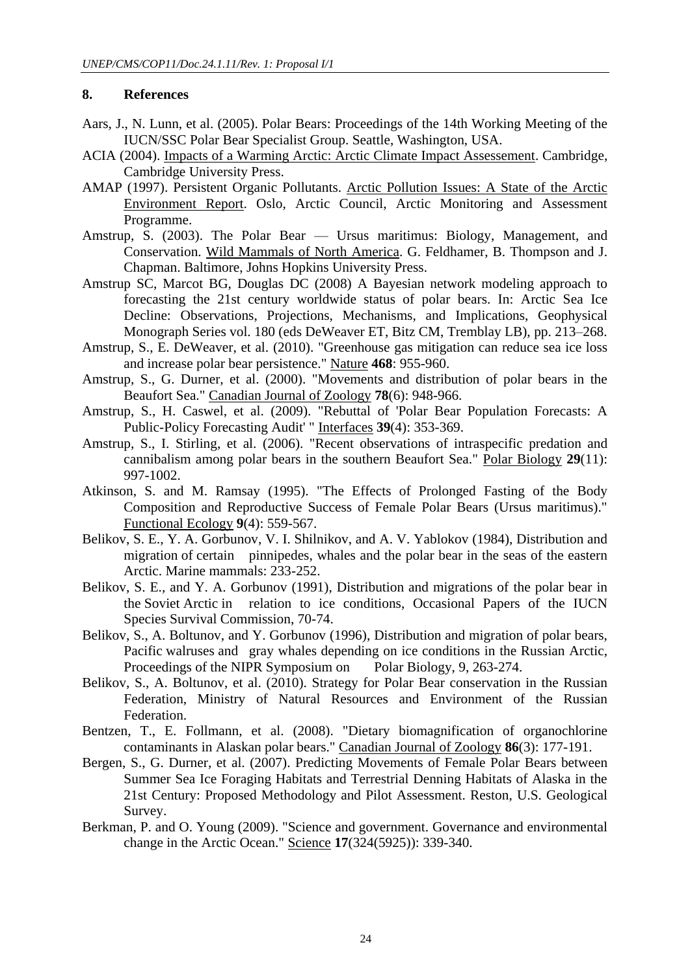#### **8. References**

- Aars, J., N. Lunn, et al. (2005). Polar Bears: Proceedings of the 14th Working Meeting of the IUCN/SSC Polar Bear Specialist Group. Seattle, Washington, USA.
- ACIA (2004). Impacts of a Warming Arctic: Arctic Climate Impact Assessement. Cambridge, Cambridge University Press.
- AMAP (1997). Persistent Organic Pollutants. Arctic Pollution Issues: A State of the Arctic Environment Report. Oslo, Arctic Council, Arctic Monitoring and Assessment Programme.
- Amstrup, S. (2003). The Polar Bear Ursus maritimus: Biology, Management, and Conservation. Wild Mammals of North America. G. Feldhamer, B. Thompson and J. Chapman. Baltimore, Johns Hopkins University Press.
- Amstrup SC, Marcot BG, Douglas DC (2008) A Bayesian network modeling approach to forecasting the 21st century worldwide status of polar bears. In: Arctic Sea Ice Decline: Observations, Projections, Mechanisms, and Implications, Geophysical Monograph Series vol. 180 (eds DeWeaver ET, Bitz CM, Tremblay LB), pp. 213–268.
- Amstrup, S., E. DeWeaver, et al. (2010). "Greenhouse gas mitigation can reduce sea ice loss and increase polar bear persistence." Nature **468**: 955-960.
- Amstrup, S., G. Durner, et al. (2000). "Movements and distribution of polar bears in the Beaufort Sea." Canadian Journal of Zoology **78**(6): 948-966.
- Amstrup, S., H. Caswel, et al. (2009). "Rebuttal of 'Polar Bear Population Forecasts: A Public-Policy Forecasting Audit' " Interfaces **39**(4): 353-369.
- Amstrup, S., I. Stirling, et al. (2006). "Recent observations of intraspecific predation and cannibalism among polar bears in the southern Beaufort Sea." Polar Biology **29**(11): 997-1002.
- Atkinson, S. and M. Ramsay (1995). "The Effects of Prolonged Fasting of the Body Composition and Reproductive Success of Female Polar Bears (Ursus maritimus)." Functional Ecology **9**(4): 559-567.
- Belikov, S. E., Y. A. Gorbunov, V. I. Shilnikov, and A. V. Yablokov (1984), Distribution and migration of certain pinnipedes, whales and the polar bear in the seas of the eastern Arctic. Marine mammals: 233-252.
- Belikov, S. E., and Y. A. Gorbunov (1991), Distribution and migrations of the polar bear in the Soviet Arctic in relation to ice conditions, Occasional Papers of the IUCN Species Survival Commission, 70-74.
- Belikov, S., A. Boltunov, and Y. Gorbunov (1996), Distribution and migration of polar bears, Pacific walruses and gray whales depending on ice conditions in the Russian Arctic, Proceedings of the NIPR Symposium on Polar Biology, 9, 263-274.
- Belikov, S., A. Boltunov, et al. (2010). Strategy for Polar Bear conservation in the Russian Federation, Ministry of Natural Resources and Environment of the Russian Federation.
- Bentzen, T., E. Follmann, et al. (2008). "Dietary biomagnification of organochlorine contaminants in Alaskan polar bears." Canadian Journal of Zoology **86**(3): 177-191.
- Bergen, S., G. Durner, et al. (2007). Predicting Movements of Female Polar Bears between Summer Sea Ice Foraging Habitats and Terrestrial Denning Habitats of Alaska in the 21st Century: Proposed Methodology and Pilot Assessment. Reston, U.S. Geological Survey.
- Berkman, P. and O. Young (2009). "Science and government. Governance and environmental change in the Arctic Ocean." Science **17**(324(5925)): 339-340.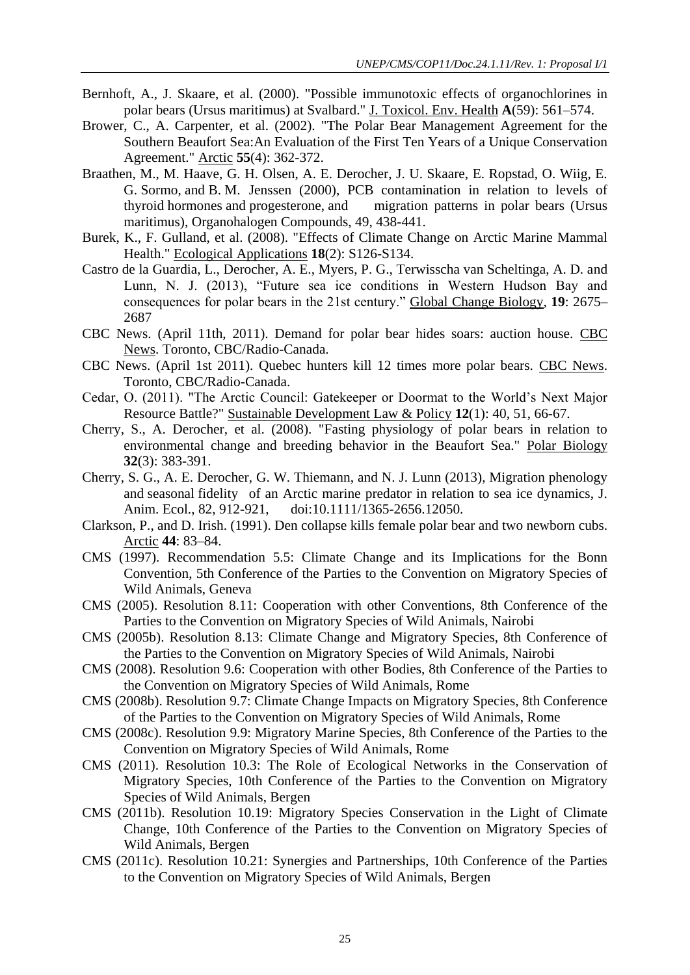- Bernhoft, A., J. Skaare, et al. (2000). "Possible immunotoxic effects of organochlorines in polar bears (Ursus maritimus) at Svalbard." J. Toxicol. Env. Health **A**(59): 561–574.
- Brower, C., A. Carpenter, et al. (2002). "The Polar Bear Management Agreement for the Southern Beaufort Sea:An Evaluation of the First Ten Years of a Unique Conservation Agreement." Arctic **55**(4): 362-372.
- Braathen, M., M. Haave, G. H. Olsen, A. E. Derocher, J. U. Skaare, E. Ropstad, O. Wiig, E. G. Sormo, and B. M. Jenssen (2000), PCB contamination in relation to levels of thyroid hormones and progesterone, and migration patterns in polar bears (Ursus maritimus), Organohalogen Compounds, 49, 438-441.
- Burek, K., F. Gulland, et al. (2008). "Effects of Climate Change on Arctic Marine Mammal Health." Ecological Applications **18**(2): S126-S134.
- Castro de la Guardia, L., Derocher, A. E., Myers, P. G., Terwisscha van Scheltinga, A. D. and Lunn, N. J. (2013), "Future sea ice conditions in Western Hudson Bay and consequences for polar bears in the 21st century." Global Change Biology, **19**: 2675– 2687
- CBC News. (April 11th, 2011). Demand for polar bear hides soars: auction house. CBC News. Toronto, CBC/Radio-Canada.
- CBC News. (April 1st 2011). Quebec hunters kill 12 times more polar bears. CBC News. Toronto, CBC/Radio-Canada.
- Cedar, O. (2011). "The Arctic Council: Gatekeeper or Doormat to the World's Next Major Resource Battle?" Sustainable Development Law & Policy **12**(1): 40, 51, 66-67.
- Cherry, S., A. Derocher, et al. (2008). "Fasting physiology of polar bears in relation to environmental change and breeding behavior in the Beaufort Sea." Polar Biology **32**(3): 383-391.
- Cherry, S. G., A. E. Derocher, G. W. Thiemann, and N. J. Lunn (2013), Migration phenology and seasonal fidelity of an Arctic marine predator in relation to sea ice dynamics, J. Anim. Ecol., 82, 912-921, doi:10.1111/1365-2656.12050.
- Clarkson, P., and D. Irish. (1991). Den collapse kills female polar bear and two newborn cubs. Arctic **44**: 83–84.
- CMS (1997). Recommendation 5.5: Climate Change and its Implications for the Bonn Convention, 5th Conference of the Parties to the Convention on Migratory Species of Wild Animals, Geneva
- CMS (2005). Resolution 8.11: Cooperation with other Conventions, 8th Conference of the Parties to the Convention on Migratory Species of Wild Animals, Nairobi
- CMS (2005b). Resolution 8.13: Climate Change and Migratory Species, 8th Conference of the Parties to the Convention on Migratory Species of Wild Animals, Nairobi
- CMS (2008). Resolution 9.6: Cooperation with other Bodies, 8th Conference of the Parties to the Convention on Migratory Species of Wild Animals, Rome
- CMS (2008b). Resolution 9.7: Climate Change Impacts on Migratory Species, 8th Conference of the Parties to the Convention on Migratory Species of Wild Animals, Rome
- CMS (2008c). Resolution 9.9: Migratory Marine Species, 8th Conference of the Parties to the Convention on Migratory Species of Wild Animals, Rome
- CMS (2011). Resolution 10.3: The Role of Ecological Networks in the Conservation of Migratory Species, 10th Conference of the Parties to the Convention on Migratory Species of Wild Animals, Bergen
- CMS (2011b). Resolution 10.19: Migratory Species Conservation in the Light of Climate Change, 10th Conference of the Parties to the Convention on Migratory Species of Wild Animals, Bergen
- CMS (2011c). Resolution 10.21: Synergies and Partnerships, 10th Conference of the Parties to the Convention on Migratory Species of Wild Animals, Bergen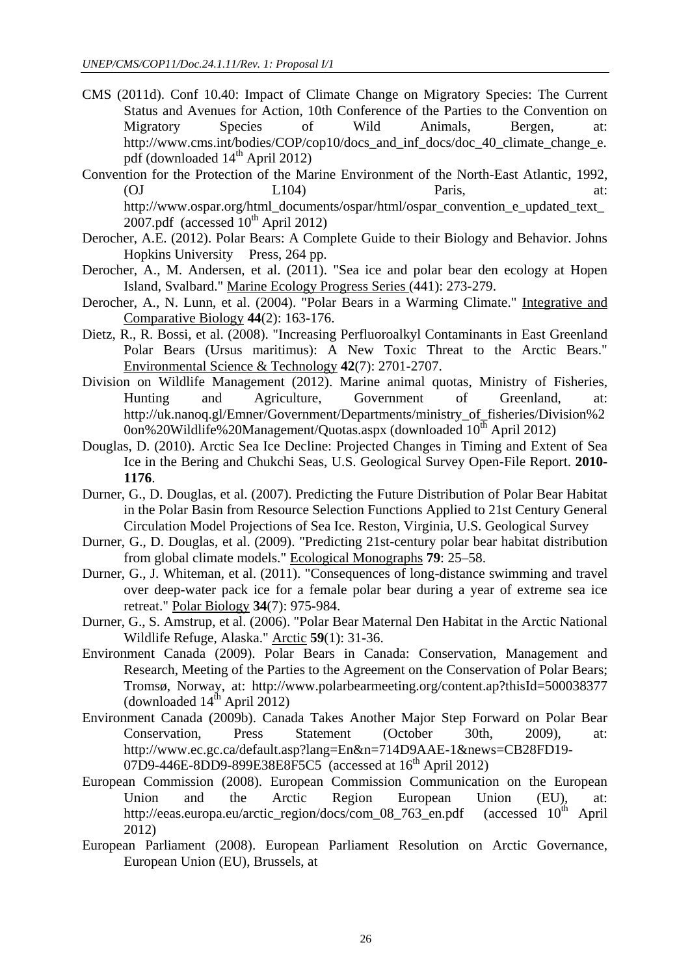- CMS (2011d). Conf 10.40: Impact of Climate Change on Migratory Species: The Current Status and Avenues for Action, 10th Conference of the Parties to the Convention on Migratory Species of Wild Animals, Bergen, at: http://www.cms.int/bodies/COP/cop10/docs\_and\_inf\_docs/doc\_40\_climate\_change\_e. pdf (downloaded  $14<sup>th</sup>$  April 2012)
- Convention for the Protection of the Marine Environment of the North-East Atlantic, 1992, (OJ L104) Paris, at: http://www.ospar.org/html\_documents/ospar/html/ospar\_convention\_e\_updated\_text\_  $2007$ .pdf (accessed  $10^{th}$  April 2012)
- Derocher, A.E. (2012). Polar Bears: A Complete Guide to their Biology and Behavior. Johns Hopkins University Press, 264 pp.
- Derocher, A., M. Andersen, et al. (2011). "Sea ice and polar bear den ecology at Hopen Island, Svalbard." Marine Ecology Progress Series (441): 273-279.
- Derocher, A., N. Lunn, et al. (2004). "Polar Bears in a Warming Climate." Integrative and Comparative Biology **44**(2): 163-176.
- Dietz, R., R. Bossi, et al. (2008). "Increasing Perfluoroalkyl Contaminants in East Greenland Polar Bears (Ursus maritimus): A New Toxic Threat to the Arctic Bears." Environmental Science & Technology **42**(7): 2701-2707.
- Division on Wildlife Management (2012). Marine animal quotas, Ministry of Fisheries, Hunting and Agriculture, Government of Greenland, at: http://uk.nanoq.gl/Emner/Government/Departments/ministry\_of\_fisheries/Division%2  $0$ on%20Wildlife%20Management/Quotas.aspx (downloaded  $10^{th}$  April 2012)
- Douglas, D. (2010). Arctic Sea Ice Decline: Projected Changes in Timing and Extent of Sea Ice in the Bering and Chukchi Seas, U.S. Geological Survey Open-File Report. **2010- 1176**.
- Durner, G., D. Douglas, et al. (2007). Predicting the Future Distribution of Polar Bear Habitat in the Polar Basin from Resource Selection Functions Applied to 21st Century General Circulation Model Projections of Sea Ice. Reston, Virginia, U.S. Geological Survey
- Durner, G., D. Douglas, et al. (2009). "Predicting 21st-century polar bear habitat distribution from global climate models." Ecological Monographs **79**: 25–58.
- Durner, G., J. Whiteman, et al. (2011). "Consequences of long-distance swimming and travel over deep-water pack ice for a female polar bear during a year of extreme sea ice retreat." Polar Biology **34**(7): 975-984.
- Durner, G., S. Amstrup, et al. (2006). "Polar Bear Maternal Den Habitat in the Arctic National Wildlife Refuge, Alaska." Arctic **59**(1): 31-36.
- Environment Canada (2009). Polar Bears in Canada: Conservation, Management and Research, Meeting of the Parties to the Agreement on the Conservation of Polar Bears; Tromsø, Norway, at: http://www.polarbearmeeting.org/content.ap?thisId=500038377 (downloaded  $14<sup>th</sup>$  April 2012)
- Environment Canada (2009b). Canada Takes Another Major Step Forward on Polar Bear Conservation, Press Statement (October 30th, 2009), at: http://www.ec.gc.ca/default.asp?lang=En&n=714D9AAE-1&news=CB28FD19- 07D9-446E-8DD9-899E38E8F5C5 (accessed at 16<sup>th</sup> April 2012)
- European Commission (2008). European Commission Communication on the European Union and the Arctic Region European Union (EU), at:<br>http://eeas.europa.eu/arctic region/docs/com 08 763 en.pdf (accessed  $10^{th}$  April http://eeas.europa.eu/arctic\_region/docs/com\_08\_763\_en.pdf (accessed  $10<sup>th</sup>$  April 2012)
- European Parliament (2008). European Parliament Resolution on Arctic Governance, European Union (EU), Brussels, at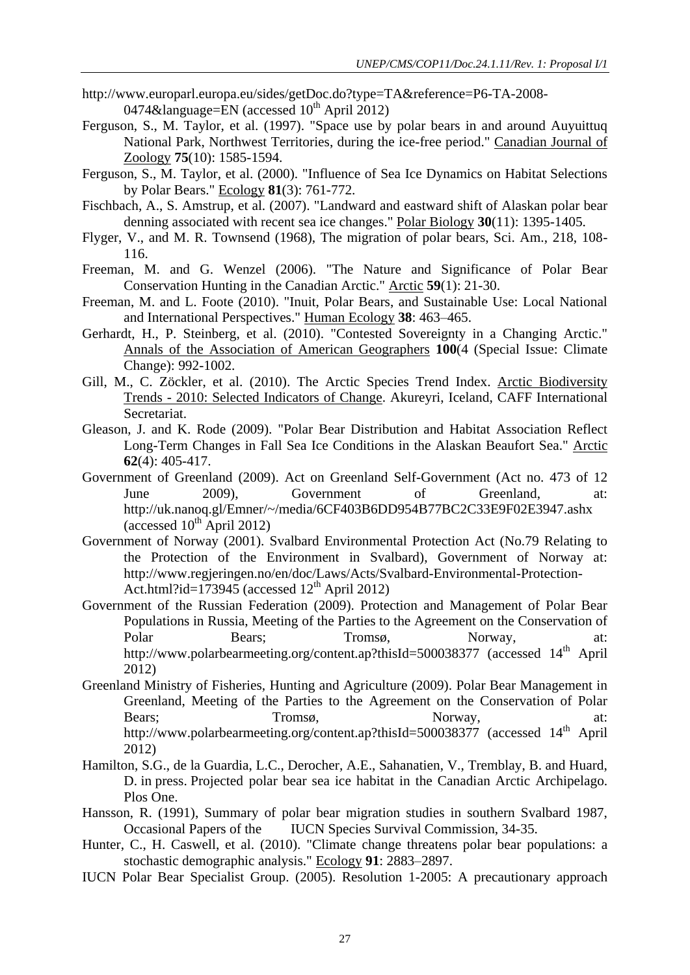- http://www.europarl.europa.eu/sides/getDoc.do?type=TA&reference=P6-TA-2008- 0474&language=EN (accessed  $10^{th}$  April 2012)
- Ferguson, S., M. Taylor, et al. (1997). "Space use by polar bears in and around Auyuittuq National Park, Northwest Territories, during the ice-free period." Canadian Journal of Zoology **75**(10): 1585-1594.
- Ferguson, S., M. Taylor, et al. (2000). "Influence of Sea Ice Dynamics on Habitat Selections by Polar Bears." Ecology **81**(3): 761-772.
- Fischbach, A., S. Amstrup, et al. (2007). "Landward and eastward shift of Alaskan polar bear denning associated with recent sea ice changes." Polar Biology **30**(11): 1395-1405.
- Flyger, V., and M. R. Townsend (1968), The migration of polar bears, Sci. Am., 218, 108- 116.
- Freeman, M. and G. Wenzel (2006). "The Nature and Significance of Polar Bear Conservation Hunting in the Canadian Arctic." Arctic **59**(1): 21-30.
- Freeman, M. and L. Foote (2010). "Inuit, Polar Bears, and Sustainable Use: Local National and International Perspectives." Human Ecology **38**: 463–465.
- Gerhardt, H., P. Steinberg, et al. (2010). "Contested Sovereignty in a Changing Arctic." Annals of the Association of American Geographers **100**(4 (Special Issue: Climate Change): 992-1002.
- Gill, M., C. Zöckler, et al. (2010). The Arctic Species Trend Index. Arctic Biodiversity Trends - 2010: Selected Indicators of Change. Akureyri, Iceland, CAFF International Secretariat.
- Gleason, J. and K. Rode (2009). "Polar Bear Distribution and Habitat Association Reflect Long-Term Changes in Fall Sea Ice Conditions in the Alaskan Beaufort Sea." Arctic **62**(4): 405-417.
- Government of Greenland (2009). Act on Greenland Self-Government (Act no. 473 of 12 June 2009), Government of Greenland, at: http://uk.nanoq.gl/Emner/~/media/6CF403B6DD954B77BC2C33E9F02E3947.ashx (accessed  $10^{th}$  April 2012)
- Government of Norway (2001). Svalbard Environmental Protection Act (No.79 Relating to the Protection of the Environment in Svalbard), Government of Norway at: http://www.regjeringen.no/en/doc/Laws/Acts/Svalbard-Environmental-Protection-Act.html?id= $173945$  (accessed  $12<sup>th</sup>$  April 2012)
- Government of the Russian Federation (2009). Protection and Management of Polar Bear Populations in Russia, Meeting of the Parties to the Agreement on the Conservation of Polar Bears; Tromsø, Norway, at: http://www.polarbearmeeting.org/content.ap?thisId=500038377 (accessed 14<sup>th</sup> April 2012)
- Greenland Ministry of Fisheries, Hunting and Agriculture (2009). Polar Bear Management in Greenland, Meeting of the Parties to the Agreement on the Conservation of Polar Bears; Tromsø, Norway, at: http://www.polarbearmeeting.org/content.ap?thisId=500038377 (accessed 14<sup>th</sup> April 2012)
- Hamilton, S.G., de la Guardia, L.C., Derocher, A.E., Sahanatien, V., Tremblay, B. and Huard, D. in press. Projected polar bear sea ice habitat in the Canadian Arctic Archipelago. Plos One.
- Hansson, R. (1991), Summary of polar bear migration studies in southern Svalbard 1987, Occasional Papers of the IUCN Species Survival Commission, 34-35.
- Hunter, C., H. Caswell, et al. (2010). "Climate change threatens polar bear populations: a stochastic demographic analysis." Ecology **91**: 2883–2897.
- IUCN Polar Bear Specialist Group. (2005). Resolution 1-2005: A precautionary approach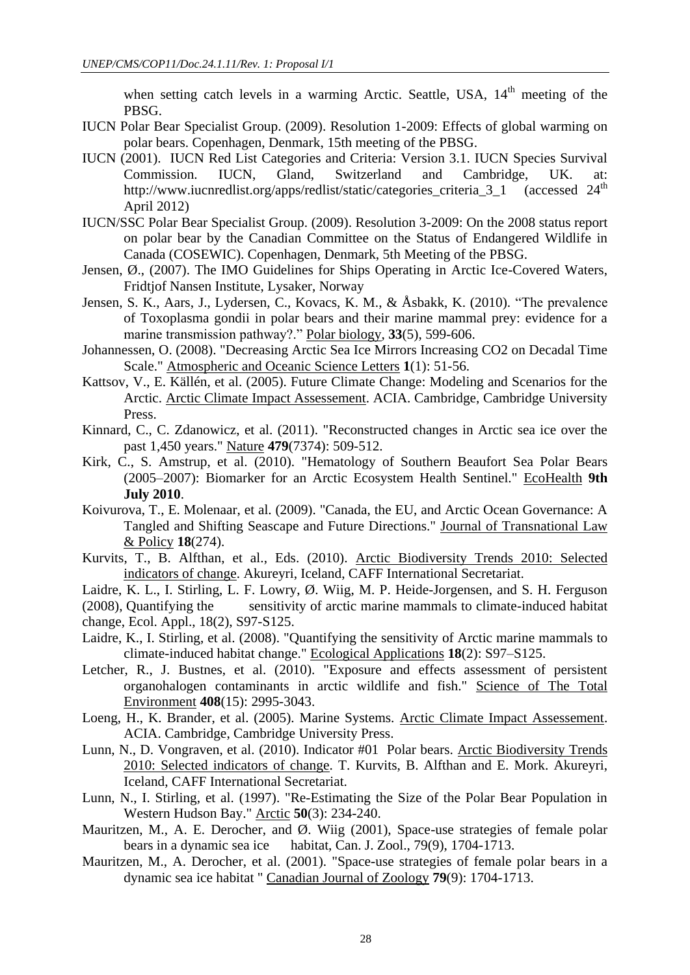when setting catch levels in a warming Arctic. Seattle, USA,  $14<sup>th</sup>$  meeting of the PBSG.

- IUCN Polar Bear Specialist Group. (2009). Resolution 1-2009: Effects of global warming on polar bears. Copenhagen, Denmark, 15th meeting of the PBSG.
- IUCN (2001). IUCN Red List Categories and Criteria: Version 3.1. IUCN Species Survival Commission. IUCN, Gland, Switzerland and Cambridge, UK. at:<br>http://www.iucnredlist.org/apps/redlist/static/categories\_criteria 3 1 (accessed 24<sup>th</sup> http://www.iucnredlist.org/apps/redlist/static/categories\_criteria\_3\_1 April 2012)
- IUCN/SSC Polar Bear Specialist Group. (2009). Resolution 3-2009: On the 2008 status report on polar bear by the Canadian Committee on the Status of Endangered Wildlife in Canada (COSEWIC). Copenhagen, Denmark, 5th Meeting of the PBSG.
- Jensen, Ø., (2007). The IMO Guidelines for Ships Operating in Arctic Ice-Covered Waters, Fridtjof Nansen Institute, Lysaker, Norway
- Jensen, S. K., Aars, J., Lydersen, C., Kovacs, K. M., & Åsbakk, K. (2010). "The prevalence of Toxoplasma gondii in polar bears and their marine mammal prey: evidence for a marine transmission pathway?." Polar biology, **33**(5), 599-606.
- Johannessen, O. (2008). "Decreasing Arctic Sea Ice Mirrors Increasing CO2 on Decadal Time Scale." Atmospheric and Oceanic Science Letters **1**(1): 51-56.
- Kattsov, V., E. Källén, et al. (2005). Future Climate Change: Modeling and Scenarios for the Arctic. Arctic Climate Impact Assessement. ACIA. Cambridge, Cambridge University Press.
- Kinnard, C., C. Zdanowicz, et al. (2011). "Reconstructed changes in Arctic sea ice over the past 1,450 years." Nature **479**(7374): 509-512.
- Kirk, C., S. Amstrup, et al. (2010). "Hematology of Southern Beaufort Sea Polar Bears (2005–2007): Biomarker for an Arctic Ecosystem Health Sentinel." EcoHealth **9th July 2010**.
- Koivurova, T., E. Molenaar, et al. (2009). "Canada, the EU, and Arctic Ocean Governance: A Tangled and Shifting Seascape and Future Directions." Journal of Transnational Law & Policy **18**(274).
- Kurvits, T., B. Alfthan, et al., Eds. (2010). Arctic Biodiversity Trends 2010: Selected indicators of change. Akureyri, Iceland, CAFF International Secretariat.
- Laidre, K. L., I. Stirling, L. F. Lowry, Ø. Wiig, M. P. Heide-Jorgensen, and S. H. Ferguson
- (2008), Quantifying the sensitivity of arctic marine mammals to climate-induced habitat change, Ecol. Appl., 18(2), S97-S125.
- Laidre, K., I. Stirling, et al. (2008). "Quantifying the sensitivity of Arctic marine mammals to climate-induced habitat change." Ecological Applications **18**(2): S97–S125.
- Letcher, R., J. Bustnes, et al. (2010). "Exposure and effects assessment of persistent organohalogen contaminants in arctic wildlife and fish." Science of The Total Environment **408**(15): 2995-3043.
- Loeng, H., K. Brander, et al. (2005). Marine Systems. Arctic Climate Impact Assessement. ACIA. Cambridge, Cambridge University Press.
- Lunn, N., D. Vongraven, et al. (2010). Indicator #01 Polar bears. Arctic Biodiversity Trends 2010: Selected indicators of change. T. Kurvits, B. Alfthan and E. Mork. Akureyri, Iceland, CAFF International Secretariat.
- Lunn, N., I. Stirling, et al. (1997). "Re-Estimating the Size of the Polar Bear Population in Western Hudson Bay." Arctic **50**(3): 234-240.
- Mauritzen, M., A. E. Derocher, and Ø. Wiig (2001), Space-use strategies of female polar bears in a dynamic sea ice habitat, Can. J. Zool., 79(9), 1704-1713.
- Mauritzen, M., A. Derocher, et al. (2001). "Space-use strategies of female polar bears in a dynamic sea ice habitat " Canadian Journal of Zoology **79**(9): 1704-1713.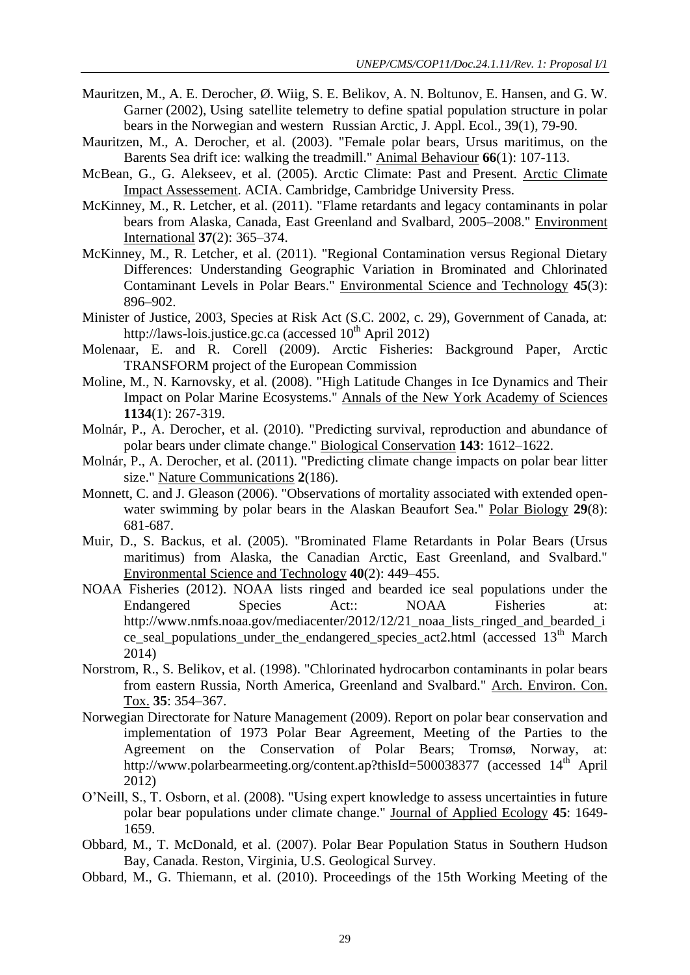- Mauritzen, M., A. E. Derocher, Ø. Wiig, S. E. Belikov, A. N. Boltunov, E. Hansen, and G. W. Garner (2002), Using satellite telemetry to define spatial population structure in polar bears in the Norwegian and western Russian Arctic, J. Appl. Ecol., 39(1), 79-90.
- Mauritzen, M., A. Derocher, et al. (2003). "Female polar bears, Ursus maritimus, on the Barents Sea drift ice: walking the treadmill." Animal Behaviour **66**(1): 107-113.
- McBean, G., G. Alekseev, et al. (2005). Arctic Climate: Past and Present. Arctic Climate Impact Assessement. ACIA. Cambridge, Cambridge University Press.
- McKinney, M., R. Letcher, et al. (2011). "Flame retardants and legacy contaminants in polar bears from Alaska, Canada, East Greenland and Svalbard, 2005–2008." Environment International **37**(2): 365–374.
- McKinney, M., R. Letcher, et al. (2011). "Regional Contamination versus Regional Dietary Differences: Understanding Geographic Variation in Brominated and Chlorinated Contaminant Levels in Polar Bears." Environmental Science and Technology **45**(3): 896–902.
- Minister of Justice, 2003, Species at Risk Act (S.C. 2002, c. 29), Government of Canada, at: http://laws-lois.justice.gc.ca (accessed  $10^{th}$  April 2012)
- Molenaar, E. and R. Corell (2009). Arctic Fisheries: Background Paper, Arctic TRANSFORM project of the European Commission
- Moline, M., N. Karnovsky, et al. (2008). "High Latitude Changes in Ice Dynamics and Their Impact on Polar Marine Ecosystems." Annals of the New York Academy of Sciences **1134**(1): 267-319.
- Molnár, P., A. Derocher, et al. (2010). "Predicting survival, reproduction and abundance of polar bears under climate change." Biological Conservation **143**: 1612–1622.
- Molnár, P., A. Derocher, et al. (2011). "Predicting climate change impacts on polar bear litter size." Nature Communications **2**(186).
- Monnett, C. and J. Gleason (2006). "Observations of mortality associated with extended openwater swimming by polar bears in the Alaskan Beaufort Sea." Polar Biology **29**(8): 681-687.
- Muir, D., S. Backus, et al. (2005). "Brominated Flame Retardants in Polar Bears (Ursus maritimus) from Alaska, the Canadian Arctic, East Greenland, and Svalbard." Environmental Science and Technology **40**(2): 449–455.
- NOAA Fisheries (2012). NOAA lists ringed and bearded ice seal populations under the Endangered Species Act:: NOAA Fisheries at: http://www.nmfs.noaa.gov/mediacenter/2012/12/21\_noaa\_lists\_ringed\_and\_bearded\_i ce\_seal\_populations\_under\_the\_endangered\_species\_act2.html (accessed 13th March 2014)
- Norstrom, R., S. Belikov, et al. (1998). "Chlorinated hydrocarbon contaminants in polar bears from eastern Russia, North America, Greenland and Svalbard." Arch. Environ. Con. Tox. **35**: 354–367.
- Norwegian Directorate for Nature Management (2009). Report on polar bear conservation and implementation of 1973 Polar Bear Agreement, Meeting of the Parties to the Agreement on the Conservation of Polar Bears; Tromsø, Norway, at: http://www.polarbearmeeting.org/content.ap?thisId=500038377 (accessed 14<sup>th</sup> April 2012)
- O'Neill, S., T. Osborn, et al. (2008). "Using expert knowledge to assess uncertainties in future polar bear populations under climate change." Journal of Applied Ecology **45**: 1649- 1659.
- Obbard, M., T. McDonald, et al. (2007). Polar Bear Population Status in Southern Hudson Bay, Canada. Reston, Virginia, U.S. Geological Survey.
- Obbard, M., G. Thiemann, et al. (2010). Proceedings of the 15th Working Meeting of the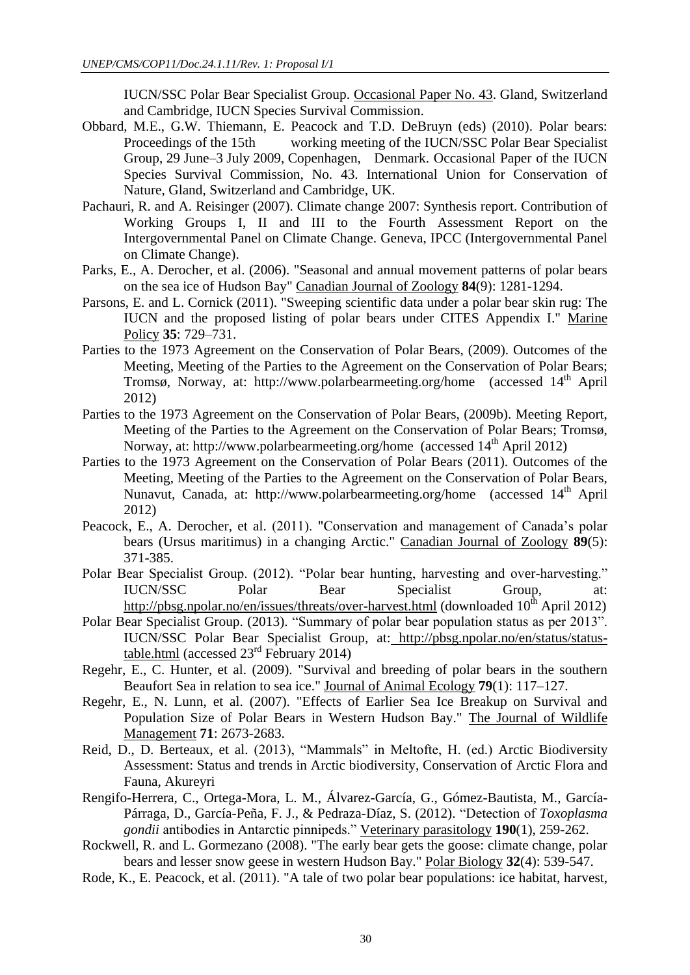IUCN/SSC Polar Bear Specialist Group. Occasional Paper No. 43. Gland, Switzerland and Cambridge, IUCN Species Survival Commission.

- Obbard, M.E., G.W. Thiemann, E. Peacock and T.D. DeBruyn (eds) (2010). Polar bears: Proceedings of the 15th working meeting of the IUCN/SSC Polar Bear Specialist Group, 29 June–3 July 2009, Copenhagen, Denmark. Occasional Paper of the IUCN Species Survival Commission, No. 43. International Union for Conservation of Nature, Gland, Switzerland and Cambridge, UK.
- Pachauri, R. and A. Reisinger (2007). Climate change 2007: Synthesis report. Contribution of Working Groups I, II and III to the Fourth Assessment Report on the Intergovernmental Panel on Climate Change. Geneva, IPCC (Intergovernmental Panel on Climate Change).
- Parks, E., A. Derocher, et al. (2006). "Seasonal and annual movement patterns of polar bears on the sea ice of Hudson Bay" Canadian Journal of Zoology **84**(9): 1281-1294.
- Parsons, E. and L. Cornick (2011). "Sweeping scientific data under a polar bear skin rug: The IUCN and the proposed listing of polar bears under CITES Appendix I." Marine Policy **35**: 729–731.
- Parties to the 1973 Agreement on the Conservation of Polar Bears, (2009). Outcomes of the Meeting, Meeting of the Parties to the Agreement on the Conservation of Polar Bears; Tromsø, Norway, at: http://www.polarbearmeeting.org/home (accessed 14<sup>th</sup> April 2012)
- Parties to the 1973 Agreement on the Conservation of Polar Bears, (2009b). Meeting Report, Meeting of the Parties to the Agreement on the Conservation of Polar Bears; Tromsø, Norway, at: http://www.polarbearmeeting.org/home (accessed  $14<sup>th</sup>$  April 2012)
- Parties to the 1973 Agreement on the Conservation of Polar Bears (2011). Outcomes of the Meeting, Meeting of the Parties to the Agreement on the Conservation of Polar Bears, Nunavut, Canada, at: http://www.polarbearmeeting.org/home (accessed 14<sup>th</sup> April 2012)
- Peacock, E., A. Derocher, et al. (2011). "Conservation and management of Canada's polar bears (Ursus maritimus) in a changing Arctic." Canadian Journal of Zoology **89**(5): 371-385.
- Polar Bear Specialist Group. (2012). "Polar bear hunting, harvesting and over-harvesting." IUCN/SSC Polar Bear Specialist Group, at: <http://pbsg.npolar.no/en/issues/threats/over-harvest.html> (downloaded 10<sup>th</sup> April 2012)
- Polar Bear Specialist Group. (2013). "Summary of polar bear population status as per 2013". IUCN/SSC Polar Bear Specialist Group, at: [http://pbsg.npolar.no/en/status/status](http://pbsg.npolar.no/en/status/status-table.html)[table.html](http://pbsg.npolar.no/en/status/status-table.html) (accessed  $23<sup>rd</sup>$  February 2014)
- Regehr, E., C. Hunter, et al. (2009). "Survival and breeding of polar bears in the southern Beaufort Sea in relation to sea ice." Journal of Animal Ecology **79**(1): 117–127.
- Regehr, E., N. Lunn, et al. (2007). "Effects of Earlier Sea Ice Breakup on Survival and Population Size of Polar Bears in Western Hudson Bay." The Journal of Wildlife Management **71**: 2673-2683.
- Reid, D., D. Berteaux, et al. (2013), "Mammals" in Meltofte, H. (ed.) Arctic Biodiversity Assessment: Status and trends in Arctic biodiversity, Conservation of Arctic Flora and Fauna, Akureyri
- Rengifo-Herrera, C., Ortega-Mora, L. M., Álvarez-García, G., Gómez-Bautista, M., García-Párraga, D., García-Peña, F. J., & Pedraza-Díaz, S. (2012). "Detection of *Toxoplasma gondii* antibodies in Antarctic pinnipeds." Veterinary parasitology **190**(1), 259-262.
- Rockwell, R. and L. Gormezano (2008). "The early bear gets the goose: climate change, polar bears and lesser snow geese in western Hudson Bay." Polar Biology **32**(4): 539-547.
- Rode, K., E. Peacock, et al. (2011). "A tale of two polar bear populations: ice habitat, harvest,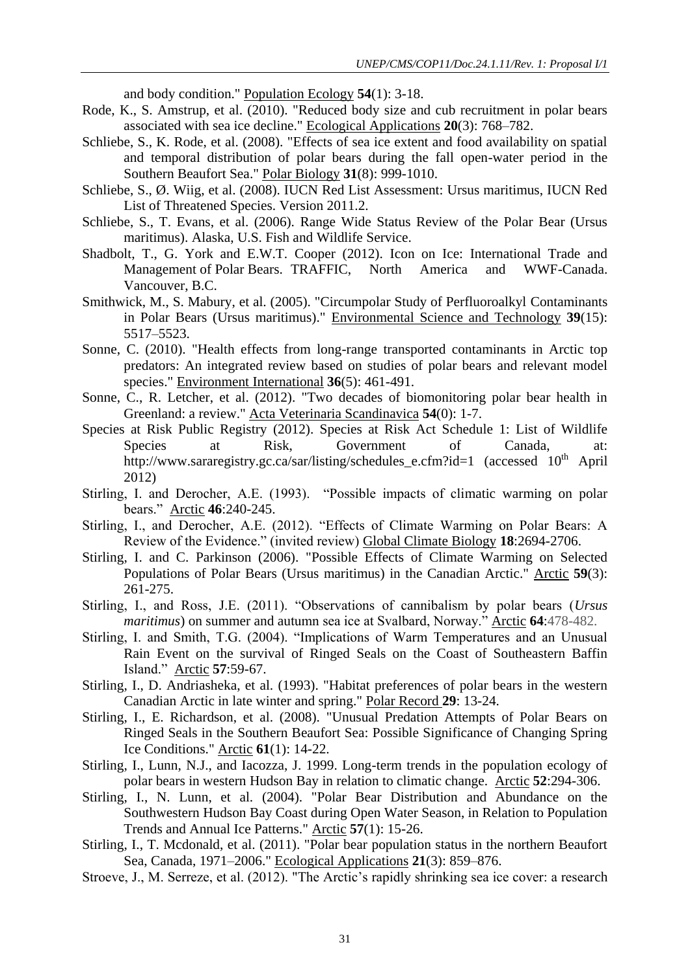and body condition." Population Ecology **54**(1): 3-18.

- Rode, K., S. Amstrup, et al. (2010). "Reduced body size and cub recruitment in polar bears associated with sea ice decline." Ecological Applications **20**(3): 768–782.
- Schliebe, S., K. Rode, et al. (2008). "Effects of sea ice extent and food availability on spatial and temporal distribution of polar bears during the fall open-water period in the Southern Beaufort Sea." Polar Biology **31**(8): 999-1010.
- Schliebe, S., Ø. Wiig, et al. (2008). IUCN Red List Assessment: Ursus maritimus, IUCN Red List of Threatened Species. Version 2011.2.
- Schliebe, S., T. Evans, et al. (2006). Range Wide Status Review of the Polar Bear (Ursus maritimus). Alaska, U.S. Fish and Wildlife Service.
- Shadbolt, T., G. York and E.W.T. Cooper (2012). Icon on Ice: International Trade and Management of Polar Bears. TRAFFIC, North America and WWF-Canada. Vancouver, B.C.
- Smithwick, M., S. Mabury, et al. (2005). "Circumpolar Study of Perfluoroalkyl Contaminants in Polar Bears (Ursus maritimus)." Environmental Science and Technology **39**(15): 5517–5523.
- Sonne, C. (2010). "Health effects from long-range transported contaminants in Arctic top predators: An integrated review based on studies of polar bears and relevant model species." Environment International **36**(5): 461-491.
- Sonne, C., R. Letcher, et al. (2012). "Two decades of biomonitoring polar bear health in Greenland: a review." Acta Veterinaria Scandinavica **54**(0): 1-7.
- Species at Risk Public Registry (2012). Species at Risk Act Schedule 1: List of Wildlife Species at Risk, Government of Canada, at: http://www.sararegistry.gc.ca/sar/listing/schedules\_e.cfm?id=1 (accessed 10<sup>th</sup> April 2012)
- Stirling, I. and Derocher, A.E. (1993). "Possible impacts of climatic warming on polar bears." Arctic **46**:240-245.
- Stirling, I., and Derocher, A.E. (2012). "Effects of Climate Warming on Polar Bears: A Review of the Evidence." (invited review) Global Climate Biology **18**:2694-2706.
- Stirling, I. and C. Parkinson (2006). "Possible Effects of Climate Warming on Selected Populations of Polar Bears (Ursus maritimus) in the Canadian Arctic." Arctic **59**(3): 261-275.
- Stirling, I., and Ross, J.E. (2011). "Observations of cannibalism by polar bears (*Ursus maritimus*) on summer and autumn sea ice at Svalbard, Norway." Arctic **64**:478-482.
- Stirling, I. and Smith, T.G. (2004). "Implications of Warm Temperatures and an Unusual Rain Event on the survival of Ringed Seals on the Coast of Southeastern Baffin Island." Arctic **57**:59-67.
- Stirling, I., D. Andriasheka, et al. (1993). "Habitat preferences of polar bears in the western Canadian Arctic in late winter and spring." Polar Record **29**: 13-24.
- Stirling, I., E. Richardson, et al. (2008). "Unusual Predation Attempts of Polar Bears on Ringed Seals in the Southern Beaufort Sea: Possible Significance of Changing Spring Ice Conditions." Arctic **61**(1): 14-22.
- Stirling, I., Lunn, N.J., and Iacozza, J. 1999. Long-term trends in the population ecology of polar bears in western Hudson Bay in relation to climatic change. Arctic **52**:294-306.
- Stirling, I., N. Lunn, et al. (2004). "Polar Bear Distribution and Abundance on the Southwestern Hudson Bay Coast during Open Water Season, in Relation to Population Trends and Annual Ice Patterns." Arctic **57**(1): 15-26.
- Stirling, I., T. Mcdonald, et al. (2011). "Polar bear population status in the northern Beaufort Sea, Canada, 1971–2006." Ecological Applications **21**(3): 859–876.
- Stroeve, J., M. Serreze, et al. (2012). "The Arctic's rapidly shrinking sea ice cover: a research